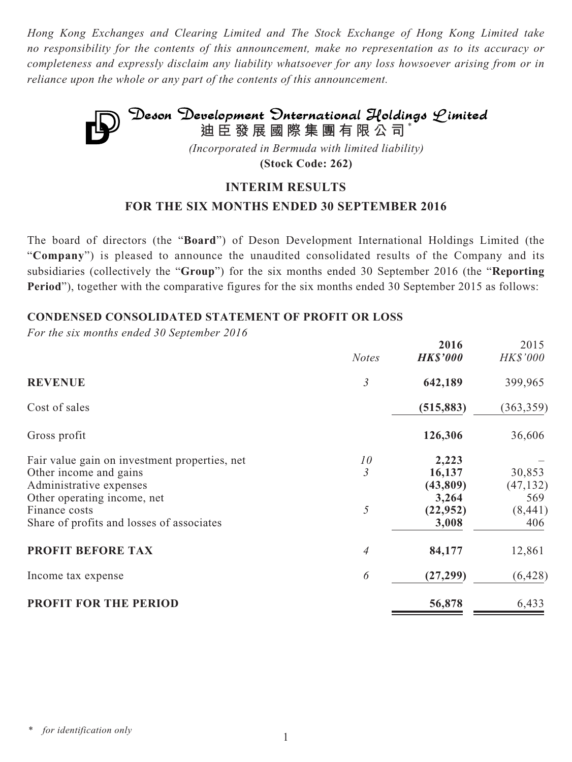*Hong Kong Exchanges and Clearing Limited and The Stock Exchange of Hong Kong Limited take no responsibility for the contents of this announcement, make no representation as to its accuracy or completeness and expressly disclaim any liability whatsoever for any loss howsoever arising from or in reliance upon the whole or any part of the contents of this announcement.*



**(Stock Code: 262)**

#### **INTERIM RESULTS**

### **FOR THE SIX MONTHS ENDED 30 SEPTEMBER 2016**

The board of directors (the "**Board**") of Deson Development International Holdings Limited (the "**Company**") is pleased to announce the unaudited consolidated results of the Company and its subsidiaries (collectively the "**Group**") for the six months ended 30 September 2016 (the "**Reporting Period**"), together with the comparative figures for the six months ended 30 September 2015 as follows:

#### **CONDENSED CONSOLIDATED STATEMENT OF PROFIT OR LOSS**

|                                               | <b>Notes</b>   | 2016<br><b>HK\$'000</b> | 2015<br><b>HK\$'000</b> |
|-----------------------------------------------|----------------|-------------------------|-------------------------|
| <b>REVENUE</b>                                | $\mathfrak{Z}$ | 642,189                 | 399,965                 |
| Cost of sales                                 |                | (515, 883)              | (363, 359)              |
| Gross profit                                  |                | 126,306                 | 36,606                  |
| Fair value gain on investment properties, net | 10             | 2,223                   |                         |
| Other income and gains                        | $\mathfrak{Z}$ | 16,137                  | 30,853                  |
| Administrative expenses                       |                | (43, 809)               | (47, 132)               |
| Other operating income, net                   |                | 3,264                   | 569                     |
| Finance costs                                 | 5              | (22, 952)               | (8, 441)                |
| Share of profits and losses of associates     |                | 3,008                   | 406                     |
| PROFIT BEFORE TAX                             | $\overline{4}$ | 84,177                  | 12,861                  |
| Income tax expense                            | 6              | (27, 299)               | (6, 428)                |
| <b>PROFIT FOR THE PERIOD</b>                  |                | 56,878                  | 6,433                   |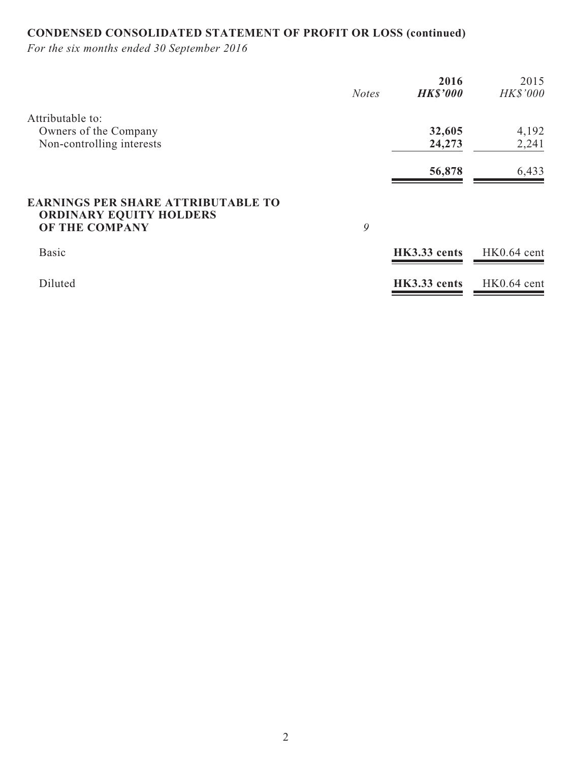# **CONDENSED CONSOLIDATED STATEMENT OF PROFIT OR LOSS (continued)**

|                                                                                               | <b>Notes</b> | 2016<br><b>HK\$'000</b> | 2015<br><b>HK\$'000</b> |
|-----------------------------------------------------------------------------------------------|--------------|-------------------------|-------------------------|
| Attributable to:                                                                              |              |                         |                         |
| Owners of the Company                                                                         |              | 32,605                  | 4,192                   |
| Non-controlling interests                                                                     |              | 24,273                  | 2,241                   |
|                                                                                               |              | 56,878                  | 6,433                   |
| <b>EARNINGS PER SHARE ATTRIBUTABLE TO</b><br><b>ORDINARY EQUITY HOLDERS</b><br>OF THE COMPANY | 9            |                         |                         |
| <b>Basic</b>                                                                                  |              | HK3.33 cents            | HK0.64 cent             |
| Diluted                                                                                       |              | HK3.33 cents            | $HK0.64$ cent           |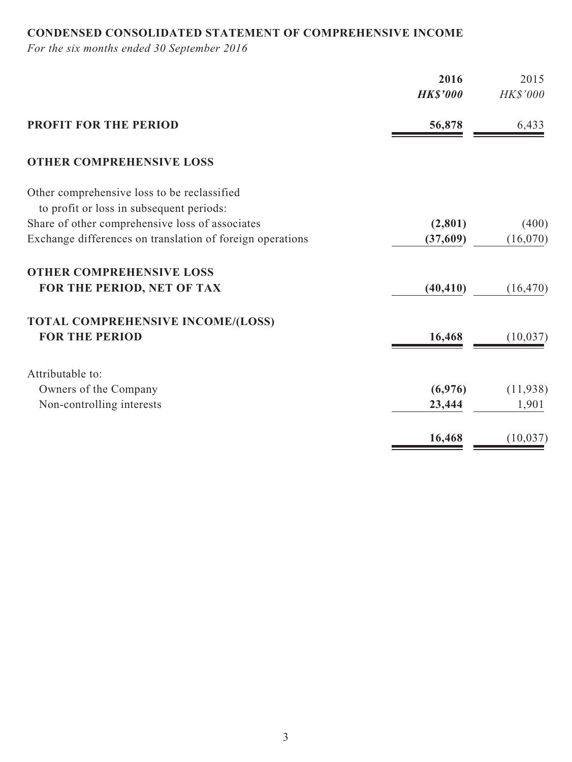## **CONDENSED CONSOLIDATED STATEMENT OF COMPREHENSIVE INCOME**

|                                                           | 2016<br><b>HK\$'000</b> | 2015<br>HK\$'000 |
|-----------------------------------------------------------|-------------------------|------------------|
| <b>PROFIT FOR THE PERIOD</b>                              | 56,878                  | 6,433            |
| <b>OTHER COMPREHENSIVE LOSS</b>                           |                         |                  |
| Other comprehensive loss to be reclassified               |                         |                  |
| to profit or loss in subsequent periods:                  |                         |                  |
| Share of other comprehensive loss of associates           | (2,801)                 | (400)            |
| Exchange differences on translation of foreign operations | (37,609)                | (16,070)         |
| <b>OTHER COMPREHENSIVE LOSS</b>                           |                         |                  |
| FOR THE PERIOD, NET OF TAX                                | (40, 410)               | (16, 470)        |
| <b>TOTAL COMPREHENSIVE INCOME/(LOSS)</b>                  |                         |                  |
| <b>FOR THE PERIOD</b>                                     | 16,468                  | (10, 037)        |
| Attributable to:                                          |                         |                  |
| Owners of the Company                                     | (6,976)                 | (11, 938)        |
| Non-controlling interests                                 | 23,444                  | 1,901            |
|                                                           |                         |                  |
|                                                           | 16,468                  | (10, 037)        |
|                                                           |                         |                  |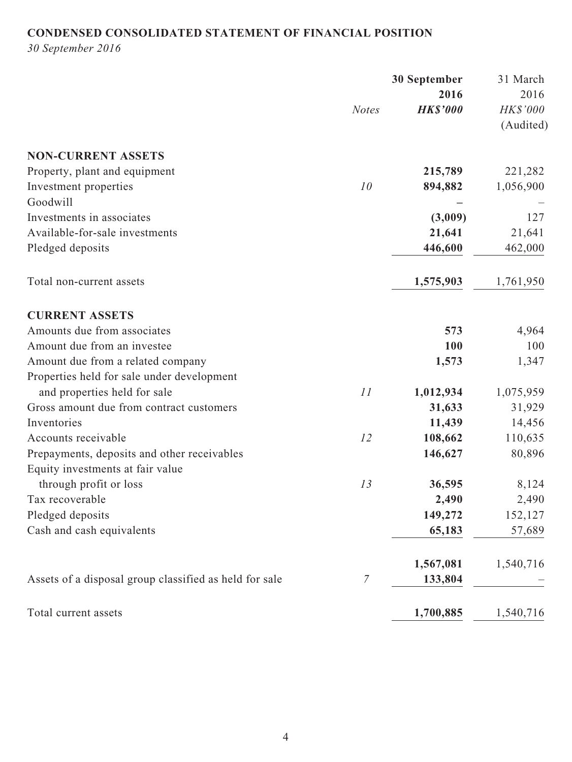### **CONDENSED CONSOLIDATED STATEMENT OF FINANCIAL POSITION**

*30 September 2016*

|                                                             | 30 September    | 31 March  |
|-------------------------------------------------------------|-----------------|-----------|
|                                                             | 2016            | 2016      |
| <b>Notes</b>                                                | <b>HK\$'000</b> | HK\$'000  |
|                                                             |                 | (Audited) |
| <b>NON-CURRENT ASSETS</b>                                   |                 |           |
| Property, plant and equipment                               | 215,789         | 221,282   |
| 10<br>Investment properties                                 | 894,882         | 1,056,900 |
| Goodwill                                                    |                 |           |
| Investments in associates                                   | (3,009)         | 127       |
| Available-for-sale investments                              | 21,641          | 21,641    |
| Pledged deposits                                            | 446,600         | 462,000   |
| Total non-current assets                                    | 1,575,903       | 1,761,950 |
| <b>CURRENT ASSETS</b>                                       |                 |           |
| Amounts due from associates                                 | 573             | 4,964     |
| Amount due from an investee                                 | 100             | 100       |
| Amount due from a related company                           | 1,573           | 1,347     |
| Properties held for sale under development                  |                 |           |
| and properties held for sale<br>11                          | 1,012,934       | 1,075,959 |
| Gross amount due from contract customers                    | 31,633          | 31,929    |
| Inventories                                                 | 11,439          | 14,456    |
| 12<br>Accounts receivable                                   | 108,662         | 110,635   |
| Prepayments, deposits and other receivables                 | 146,627         | 80,896    |
| Equity investments at fair value                            |                 |           |
| through profit or loss<br>13                                | 36,595          | 8,124     |
| Tax recoverable                                             | 2,490           | 2,490     |
| Pledged deposits                                            | 149,272         | 152,127   |
| Cash and cash equivalents                                   | 65,183          | 57,689    |
|                                                             | 1,567,081       | 1,540,716 |
| Assets of a disposal group classified as held for sale<br>7 | 133,804         |           |
| Total current assets                                        | 1,700,885       | 1,540,716 |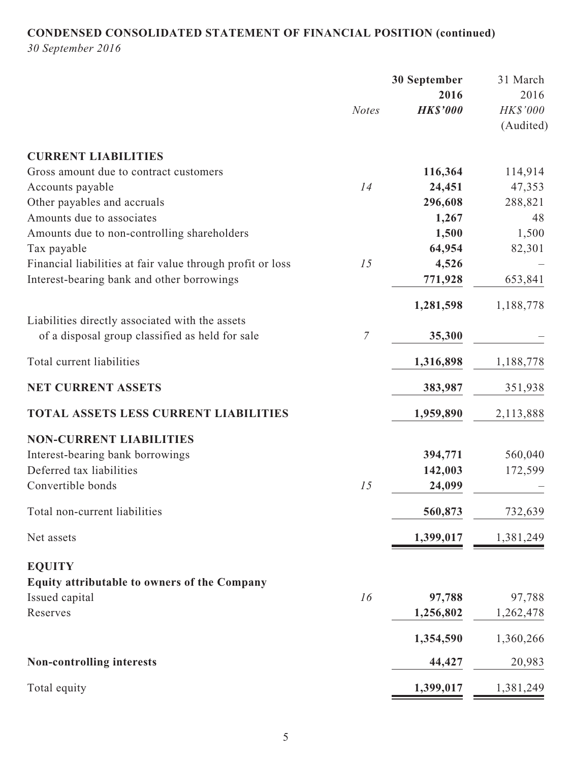# **CONDENSED CONSOLIDATED STATEMENT OF FINANCIAL POSITION (continued)**

*30 September 2016*

|                                                            |              | 30 September    | 31 March  |
|------------------------------------------------------------|--------------|-----------------|-----------|
|                                                            |              | 2016            | 2016      |
|                                                            | <b>Notes</b> | <b>HK\$'000</b> | HK\$'000  |
|                                                            |              |                 | (Audited) |
| <b>CURRENT LIABILITIES</b>                                 |              |                 |           |
| Gross amount due to contract customers                     |              | 116,364         | 114,914   |
| Accounts payable                                           | 14           | 24,451          | 47,353    |
| Other payables and accruals                                |              | 296,608         | 288,821   |
| Amounts due to associates                                  |              | 1,267           | 48        |
| Amounts due to non-controlling shareholders                |              | 1,500           | 1,500     |
| Tax payable                                                |              | 64,954          | 82,301    |
| Financial liabilities at fair value through profit or loss | 15           | 4,526           |           |
| Interest-bearing bank and other borrowings                 |              | 771,928         | 653,841   |
|                                                            |              | 1,281,598       | 1,188,778 |
| Liabilities directly associated with the assets            |              |                 |           |
| of a disposal group classified as held for sale            | 7            | 35,300          |           |
| Total current liabilities                                  |              | 1,316,898       | 1,188,778 |
| <b>NET CURRENT ASSETS</b>                                  |              | 383,987         | 351,938   |
| <b>TOTAL ASSETS LESS CURRENT LIABILITIES</b>               |              | 1,959,890       | 2,113,888 |
| <b>NON-CURRENT LIABILITIES</b>                             |              |                 |           |
| Interest-bearing bank borrowings                           |              | 394,771         | 560,040   |
| Deferred tax liabilities                                   |              | 142,003         | 172,599   |
| Convertible bonds                                          | 15           | 24,099          |           |
|                                                            |              |                 |           |
| Total non-current liabilities                              |              | 560,873         | 732,639   |
| Net assets                                                 |              | 1,399,017       | 1,381,249 |
| <b>EQUITY</b>                                              |              |                 |           |
| Equity attributable to owners of the Company               |              |                 |           |
| Issued capital                                             | 16           | 97,788          | 97,788    |
| Reserves                                                   |              | 1,256,802       | 1,262,478 |
|                                                            |              |                 |           |
|                                                            |              | 1,354,590       | 1,360,266 |
| <b>Non-controlling interests</b>                           |              | 44,427          | 20,983    |
| Total equity                                               |              | 1,399,017       | 1,381,249 |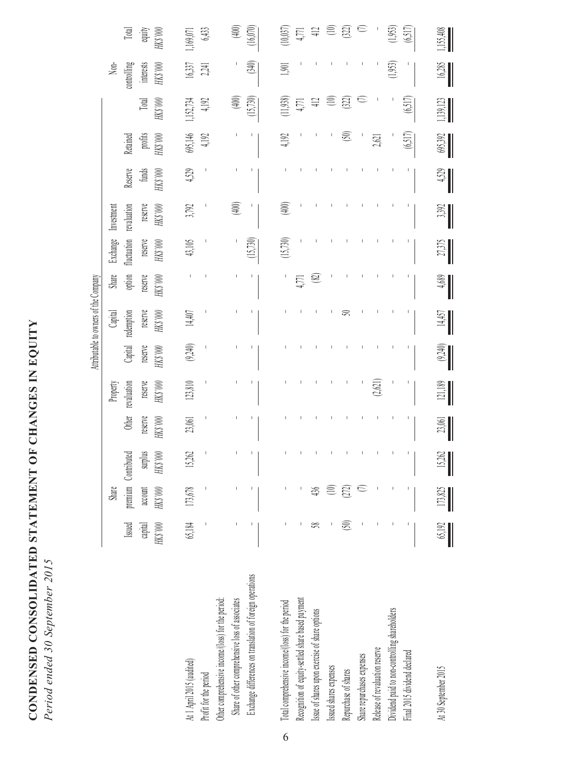CONDENSED CONSOLIDATED STATEMENT OF CHANGES IN EQUITY **CONDENSED CONSOLIDATED STATEMENT OF CHANGES IN EQUITY** Period ended 30 September 2015 *Period ended 30 September 2015*

|                                                           |           |                     |                     |              |                           |                                                       | Attributable to owners of the Company |                   |                     |             |                 |                                                                         |                 |                              |                        |
|-----------------------------------------------------------|-----------|---------------------|---------------------|--------------|---------------------------|-------------------------------------------------------|---------------------------------------|-------------------|---------------------|-------------|-----------------|-------------------------------------------------------------------------|-----------------|------------------------------|------------------------|
|                                                           |           | Share               |                     |              | <b>Property</b>           |                                                       | Capital                               | Share             | Exchange            | Investment  |                 |                                                                         |                 | .<br>Mod                     |                        |
|                                                           | Issued    |                     | premium Contributed | <b>Other</b> | revaluation               | Capital                                               | redemption                            | option            | fluctuation         | revaluation | Reserve         | Retained                                                                |                 | controlling                  | Total                  |
|                                                           | capital   | account             | surplus             | reserve      | reserve                   | reserve                                               | reserve                               | reserve           | reserve             | reserve     | funds           |                                                                         | Total           | interests                    | equity                 |
|                                                           | $000$ SYH | $HK3'000$           | $\rm{HK}3\,000$     | HK\$'000     | $\rm{HK}3\,000$           | $\rm HK3000$                                          | HK\$'000                              | HK\$'000          | HK\$'000            | HK\$'000    | HK\$'000        | $\begin{array}{c} \text{profit} \\ \text{HKS}^* \text{000} \end{array}$ | HK\$'000        | HK\$'000                     | <b>HKS</b> :000        |
| At 1 April 2015 (audited)                                 | 65,184    | 173,678             | 15,262              | 23,061       | 123,810                   | (9,240)                                               | 14,407                                |                   | 43,105              | 3,792       | 4,529           | 695,146                                                                 | 152,73          | 16,33                        | 1,169,07               |
| Profit for the period                                     |           |                     |                     |              |                           |                                                       |                                       |                   |                     |             |                 | 4,192                                                                   | 4,197           | 2,241                        | 6,433                  |
| Other comprehensive income((loss) for the period:         |           |                     |                     |              |                           |                                                       |                                       |                   |                     |             |                 |                                                                         |                 |                              |                        |
| Share of other comprehensive loss of associates           |           |                     |                     |              |                           |                                                       |                                       |                   |                     | $\bigoplus$ |                 |                                                                         | (400)           |                              | $\left(40\right)$      |
| Exchange differences on translation of foreign operations |           |                     |                     |              |                           |                                                       |                                       |                   | (15,730)            |             |                 |                                                                         | (15, 730)       | (340)                        | (16,070)               |
|                                                           |           |                     |                     |              |                           |                                                       |                                       |                   |                     |             |                 |                                                                         |                 |                              |                        |
| Total comprehensive income/(loss) for the period          |           |                     |                     |              |                           |                                                       |                                       |                   | (15,730)            | $\bigoplus$ |                 | 4,192                                                                   | (11, 938)       | 1,901                        |                        |
| Recognition of equity-settled share based payment         |           |                     |                     |              |                           |                                                       |                                       | 4,771             |                     |             |                 |                                                                         | $4,771$         |                              | $\frac{10,037}{4,771}$ |
| Issue of shares upon exercise of share options            | ℅         | 436                 |                     |              |                           |                                                       |                                       | $\otimes$         |                     |             |                 |                                                                         | $\frac{12}{11}$ |                              | 412                    |
| Issued shares expenses                                    |           | 3                   |                     |              |                           |                                                       |                                       |                   |                     |             |                 |                                                                         | $\equiv$        |                              | $\equiv$               |
| Repurchase of shares                                      | (50)      | 272)                |                     |              |                           |                                                       |                                       |                   |                     |             |                 | $\widehat{S}$                                                           | (32)            |                              | (32)                   |
| Share repurchases expenses                                |           |                     |                     |              |                           |                                                       |                                       |                   |                     |             |                 |                                                                         |                 |                              |                        |
| Release of revaluation reserve                            |           |                     |                     |              | (2,621)                   |                                                       |                                       |                   |                     |             |                 | 2,621                                                                   |                 |                              |                        |
| Dividend paid to non-controlling shareholders             |           |                     |                     |              |                           |                                                       |                                       |                   |                     |             |                 |                                                                         |                 | (1,953)                      | (1,953)                |
| Final 2015 dividend declared                              |           |                     |                     |              |                           |                                                       |                                       |                   |                     |             |                 | (6,517)                                                                 | (6,517)         |                              | (6,517)                |
| At 30 September 2015                                      | 65,192    | $\frac{173,825}{2}$ | $\frac{15,262}{2}$  | $23,061$     | $\frac{121.189}{121.189}$ | $\begin{array}{c}\n (9,240) \\ \hline\n  \end{array}$ | $\frac{14,457}{2}$                    | $\frac{4,689}{2}$ | $\frac{27,375}{27}$ | $3.392$     | $\frac{452}{ }$ | 695,392                                                                 | 1,139,123       | $\frac{16,285}{\phantom{1}}$ | 1,155,408              |
|                                                           |           |                     |                     |              |                           |                                                       |                                       |                   |                     |             |                 |                                                                         |                 |                              |                        |

6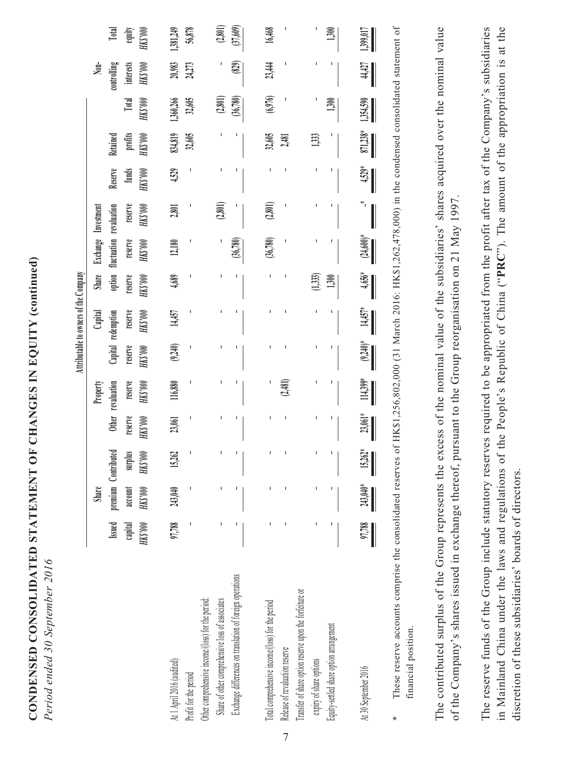CONDENSED CONSOLIDATED STATEMENT OF CHANGES IN EQUITY (continued) **CONDENSED CONSOLIDATED STATEMENT OF CHANGES IN EQUITY (continued)** *Period ended 30 September 2016* Period en

|                        | harr<br>apıtal |
|------------------------|----------------|
| 1ded 30 September 2016 |                |

|                                                                                                      |         | Share               |                |                | Property    |            | Capital        | Share          | Exchange Investment     |                                                                                                 |                                                              |          |                | <u>Š</u>       |                |
|------------------------------------------------------------------------------------------------------|---------|---------------------|----------------|----------------|-------------|------------|----------------|----------------|-------------------------|-------------------------------------------------------------------------------------------------|--------------------------------------------------------------|----------|----------------|----------------|----------------|
|                                                                                                      | Issued  | premium Contributed |                | <b>Other</b>   | revaluation | Capital    | redemption     | option         | fluctuation revaluation |                                                                                                 | Reserve                                                      | Retained |                | controlling    | Total          |
|                                                                                                      | capital | account             | surplus        | reserve        | reserve     | reserve    | reserve        | reserve        | reserve                 | reserve                                                                                         | funds                                                        | profits  | Total          | interests      | equity         |
|                                                                                                      | 000.SYH | $\rm{H}X3.000$      | <b>HKS'000</b> | <b>HKS'000</b> | HK\$'000    | HKS'000    | <b>HKS'000</b> | <b>HKS'000</b> | HKS'000                 | <b>HKS'000</b>                                                                                  | <b>OOGSMH</b>                                                | HKS'000  | <b>HKS'000</b> | <b>HKS'000</b> | <b>HKS'000</b> |
| At 1 April 2016 (audited)                                                                            | 97,788  | 243,040             | 15,262         | 23,061         | 116,880     | (9,240)    | 14,457         | 4,689          | 12,180                  | 2,801                                                                                           | 4529                                                         | 834,819  | 1,360,266      | 20,983         | 381,249        |
| Profit for the period                                                                                |         |                     |                |                | I           |            |                |                |                         |                                                                                                 |                                                              | 32,605   | 32,605         | 24,273         | 56,878         |
| Share of other comprehensive loss of associates<br>Other comprehensive income((loss) for the period: |         |                     |                | I              | I           |            |                |                | I                       | (2, 801)                                                                                        |                                                              |          | (2, 801)       | ı              | (2, 801)       |
| Exchange differences on translation of foreign operations                                            |         |                     |                | ı              |             |            |                |                | (36,780)                |                                                                                                 |                                                              |          | (36,780)       | (82)           | (37,609)       |
| Total comprehensive income/(loss) for the period                                                     |         |                     |                | ı              | I           | I          | ı              | ı              | (36,780)                | (2, 801)                                                                                        | I.                                                           | 32,605   | (6,976)        | 23,444         | 16,468         |
| Release of revaluation reserve                                                                       |         |                     |                | Ï              | (2,481)     |            |                |                |                         |                                                                                                 |                                                              | 2,481    |                |                |                |
| Transfer of share option reserve upon the forfeiture or<br>expiry of share options                   |         |                     |                | ı              | I           |            | I              | (1,333)        |                         |                                                                                                 |                                                              | 1,33     |                |                |                |
| Equity-settled share option arrangement                                                              |         |                     |                |                |             |            |                | 1,300          |                         |                                                                                                 |                                                              |          | 1300           |                | 1,300          |
| At 30 September 2016                                                                                 | 97,788  | 243,040*            | $15,262*$      | 23,061*        | 114,399*    | $(9,240)*$ | $14,457*$      | $4,656*$       | $(24,600)*$             |                                                                                                 | $\begin{bmatrix} 4.52^{\circ} \\ 5.21^{\circ} \end{bmatrix}$ | 871,238* | 1354,590       | 44.427         | 399,01         |
| These reserve accounts comprise the consolidated reserves of<br>financial position.<br>⋇             |         |                     |                |                |             |            |                |                |                         | HK\$1,256,802,000 (31 March 2016: HK\$1,262,478,000) in the condensed consolidated statement of |                                                              |          |                |                |                |

7

The contributed surplus of the Group represents the excess of the nominal value of the subsidiaries' shares acquired over the nominal value The contributed surplus of the Group represents the excess of the nominal value of the subsidiaries' shares acquired over the nominal value of the Company's shares issued in exchange thereof, pursuant to the Group reorganisation on 21 May 1997. of the Company's shares issued in exchange thereof, pursuant to the Group reorganisation on 21 May 1997.

The reserve funds of the Group include statutory reserves required to be appropriated from the profit after tax of the Company's subsidiaries The reserve funds of the Group include statutory reserves required to be appropriated from the profit after tax of the Company's subsidiaries in Mainland China under the laws and regulations of the People's Republic of China ("**PRC**"). The amount of the appropriation is at the in Mainland China under the laws and regulations of the People's Republic of China ("PRC"). The amount of the appropriation is at the discretion of these subsidiaries' boards of directors. discretion of these subsidiaries' boards of directors.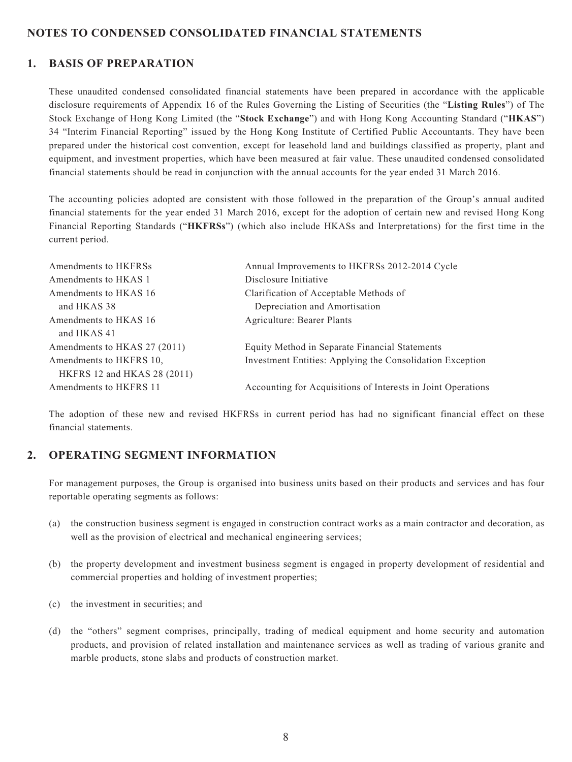#### **NOTES TO CONDENSED CONSOLIDATED FINANCIAL STATEMENTS**

#### **1. BASIS OF PREPARATION**

These unaudited condensed consolidated financial statements have been prepared in accordance with the applicable disclosure requirements of Appendix 16 of the Rules Governing the Listing of Securities (the "**Listing Rules**") of The Stock Exchange of Hong Kong Limited (the "**Stock Exchange**") and with Hong Kong Accounting Standard ("**HKAS**") 34 "Interim Financial Reporting" issued by the Hong Kong Institute of Certified Public Accountants. They have been prepared under the historical cost convention, except for leasehold land and buildings classified as property, plant and equipment, and investment properties, which have been measured at fair value. These unaudited condensed consolidated financial statements should be read in conjunction with the annual accounts for the year ended 31 March 2016.

The accounting policies adopted are consistent with those followed in the preparation of the Group's annual audited financial statements for the year ended 31 March 2016, except for the adoption of certain new and revised Hong Kong Financial Reporting Standards ("**HKFRSs**") (which also include HKASs and Interpretations) for the first time in the current period.

| Amendments to HKFRSs         | Annual Improvements to HKFRSs 2012-2014 Cycle                |
|------------------------------|--------------------------------------------------------------|
| Amendments to HKAS 1         | Disclosure Initiative                                        |
| Amendments to HKAS 16        | Clarification of Acceptable Methods of                       |
| and HKAS 38                  | Depreciation and Amortisation                                |
| Amendments to HKAS 16        | Agriculture: Bearer Plants                                   |
| and HKAS 41                  |                                                              |
| Amendments to HKAS 27 (2011) | Equity Method in Separate Financial Statements               |
| Amendments to HKFRS 10,      | Investment Entities: Applying the Consolidation Exception    |
| HKFRS 12 and HKAS 28 (2011)  |                                                              |
| Amendments to HKFRS 11       | Accounting for Acquisitions of Interests in Joint Operations |
|                              |                                                              |

The adoption of these new and revised HKFRSs in current period has had no significant financial effect on these financial statements.

#### **2. OPERATING SEGMENT INFORMATION**

For management purposes, the Group is organised into business units based on their products and services and has four reportable operating segments as follows:

- (a) the construction business segment is engaged in construction contract works as a main contractor and decoration, as well as the provision of electrical and mechanical engineering services;
- (b) the property development and investment business segment is engaged in property development of residential and commercial properties and holding of investment properties;
- (c) the investment in securities; and
- (d) the "others" segment comprises, principally, trading of medical equipment and home security and automation products, and provision of related installation and maintenance services as well as trading of various granite and marble products, stone slabs and products of construction market.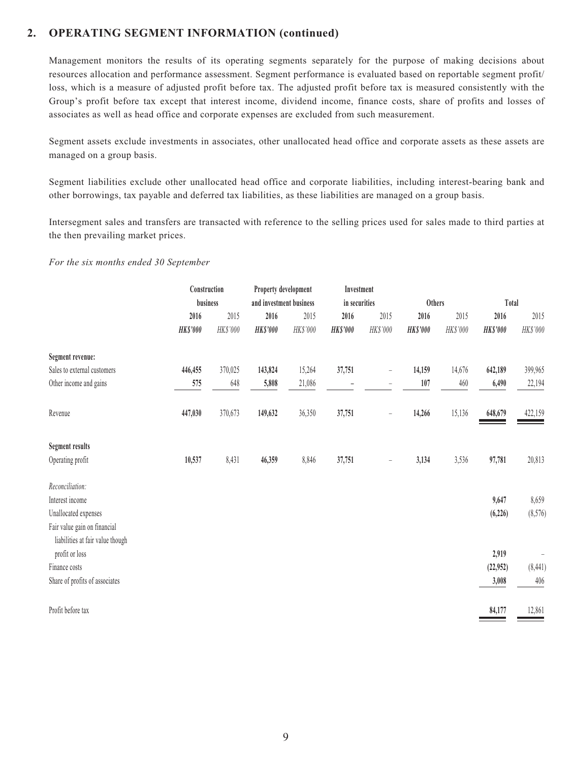#### **2. OPERATING SEGMENT INFORMATION (continued)**

Management monitors the results of its operating segments separately for the purpose of making decisions about resources allocation and performance assessment. Segment performance is evaluated based on reportable segment profit/ loss, which is a measure of adjusted profit before tax. The adjusted profit before tax is measured consistently with the Group's profit before tax except that interest income, dividend income, finance costs, share of profits and losses of associates as well as head office and corporate expenses are excluded from such measurement.

Segment assets exclude investments in associates, other unallocated head office and corporate assets as these assets are managed on a group basis.

Segment liabilities exclude other unallocated head office and corporate liabilities, including interest-bearing bank and other borrowings, tax payable and deferred tax liabilities, as these liabilities are managed on a group basis.

Intersegment sales and transfers are transacted with reference to the selling prices used for sales made to third parties at the then prevailing market prices.

|                                  | Construction    |          | Property development    |          | Investment               |                   |                 |          |                 |          |
|----------------------------------|-----------------|----------|-------------------------|----------|--------------------------|-------------------|-----------------|----------|-----------------|----------|
|                                  | business        |          | and investment business |          | in securities            |                   | Others          |          | Total           |          |
|                                  | 2016            | 2015     | 2016                    | 2015     | 2016                     | 2015              | 2016            | 2015     | 2016            | 2015     |
|                                  | <b>HK\$'000</b> | HK\$'000 | <b>HK\$'000</b>         | HK\$'000 | <b>HK\$'000</b>          | HK\$'000          | <b>HK\$'000</b> | HK\$'000 | <b>HK\$'000</b> | HK\$'000 |
| Segment revenue:                 |                 |          |                         |          |                          |                   |                 |          |                 |          |
| Sales to external customers      | 446,455         | 370,025  | 143,824                 | 15,264   | 37,751                   | $\qquad \qquad -$ | 14,159          | 14,676   | 642,189         | 399,965  |
| Other income and gains           | 575             | 648      | 5,808                   | 21,086   | $\overline{\phantom{0}}$ | $\qquad \qquad -$ | 107             | 460      | 6,490           | 22,194   |
| Revenue                          | 447,030         | 370,673  | 149,632                 | 36,350   | 37,751                   | $\qquad \qquad -$ | 14,266          | 15,136   | 648,679         | 422,159  |
| <b>Segment results</b>           |                 |          |                         |          |                          |                   |                 |          |                 |          |
| Operating profit                 | 10,537          | 8,431    | 46,359                  | 8,846    | 37,751                   | $\qquad \qquad -$ | 3,134           | 3,536    | 97,781          | 20,813   |
| Reconciliation:                  |                 |          |                         |          |                          |                   |                 |          |                 |          |
| Interest income                  |                 |          |                         |          |                          |                   |                 |          | 9,647           | 8,659    |
| Unallocated expenses             |                 |          |                         |          |                          |                   |                 |          | (6, 226)        | (8,576)  |
| Fair value gain on financial     |                 |          |                         |          |                          |                   |                 |          |                 |          |
| liabilities at fair value though |                 |          |                         |          |                          |                   |                 |          |                 |          |
| profit or loss                   |                 |          |                         |          |                          |                   |                 |          | 2,919           |          |
| Finance costs                    |                 |          |                         |          |                          |                   |                 |          | (22,952)        | (8,441)  |
| Share of profits of associates   |                 |          |                         |          |                          |                   |                 |          | 3,008           | 406      |
| Profit before tax                |                 |          |                         |          |                          |                   |                 |          | 84,177          | 12,861   |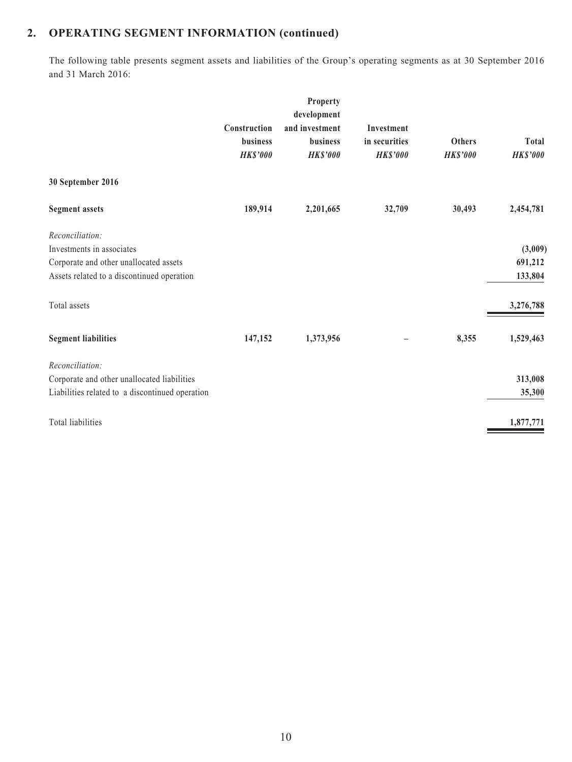### **2. OPERATING SEGMENT INFORMATION (continued)**

The following table presents segment assets and liabilities of the Group's operating segments as at 30 September 2016 and 31 March 2016:

|                                                 |                 | Property                      |                 |                 |                 |
|-------------------------------------------------|-----------------|-------------------------------|-----------------|-----------------|-----------------|
|                                                 | Construction    | development<br>and investment | Investment      |                 |                 |
|                                                 | business        | business                      | in securities   | <b>Others</b>   | <b>Total</b>    |
|                                                 | <b>HK\$'000</b> | <b>HK\$'000</b>               | <b>HK\$'000</b> | <b>HK\$'000</b> | <b>HK\$'000</b> |
| 30 September 2016                               |                 |                               |                 |                 |                 |
| <b>Segment assets</b>                           | 189,914         | 2,201,665                     | 32,709          | 30,493          | 2,454,781       |
| Reconciliation:                                 |                 |                               |                 |                 |                 |
| Investments in associates                       |                 |                               |                 |                 | (3,009)         |
| Corporate and other unallocated assets          |                 |                               |                 |                 | 691,212         |
| Assets related to a discontinued operation      |                 |                               |                 |                 | 133,804         |
| Total assets                                    |                 |                               |                 |                 | 3,276,788       |
| <b>Segment liabilities</b>                      | 147,152         | 1,373,956                     |                 | 8,355           | 1,529,463       |
| Reconciliation:                                 |                 |                               |                 |                 |                 |
| Corporate and other unallocated liabilities     |                 |                               |                 |                 | 313,008         |
| Liabilities related to a discontinued operation |                 |                               |                 |                 | 35,300          |
| Total liabilities                               |                 |                               |                 |                 | 1,877,771       |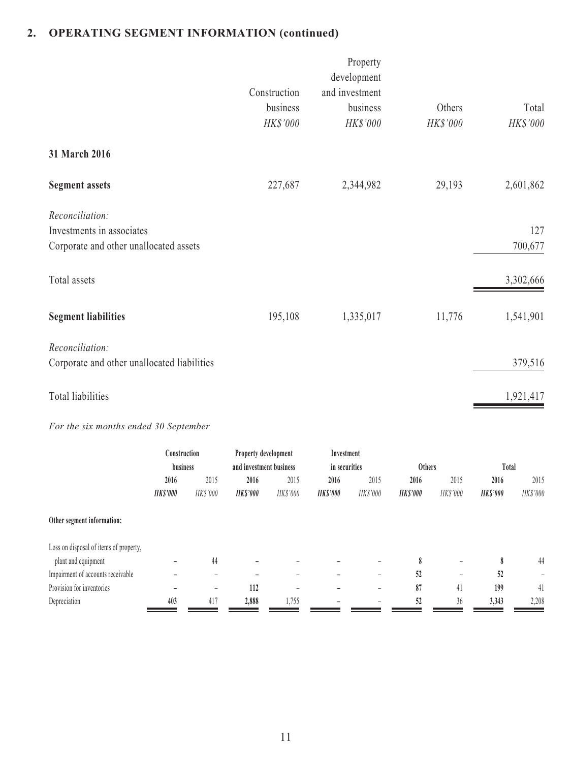# **2. OPERATING SEGMENT INFORMATION (continued)**

|                                                                                        | Construction<br>business<br>HK\$'000 | Property<br>development<br>and investment<br>business<br>HK\$'000 | Others<br>HK\$'000 | Total<br>HK\$'000 |
|----------------------------------------------------------------------------------------|--------------------------------------|-------------------------------------------------------------------|--------------------|-------------------|
| 31 March 2016                                                                          |                                      |                                                                   |                    |                   |
| <b>Segment assets</b>                                                                  | 227,687                              | 2,344,982                                                         | 29,193             | 2,601,862         |
| Reconciliation:<br>Investments in associates<br>Corporate and other unallocated assets |                                      |                                                                   |                    | 127<br>700,677    |
| Total assets                                                                           |                                      |                                                                   |                    | 3,302,666         |
| <b>Segment liabilities</b>                                                             | 195,108                              | 1,335,017                                                         | 11,776             | 1,541,901         |
| Reconciliation:<br>Corporate and other unallocated liabilities                         |                                      |                                                                   |                    | 379,516           |
| Total liabilities                                                                      |                                      |                                                                   |                    | 1,921,417         |
| For the six months ended 30 September                                                  |                                      |                                                                   |                    |                   |

|                                        | Construction    |                          | Property development                     |          | Investment      |                 |                 |                          |                 |          |
|----------------------------------------|-----------------|--------------------------|------------------------------------------|----------|-----------------|-----------------|-----------------|--------------------------|-----------------|----------|
|                                        | business        |                          | and investment business<br>in securities |          | <b>Others</b>   |                 | Total           |                          |                 |          |
|                                        | 2016            | 2015                     | 2016                                     | 2015     | 2016            | 2015            | 2016            | 2015                     | 2016            | 2015     |
|                                        | <b>HK\$'000</b> | HK\$'000                 | <b>HK\$'000</b>                          | HK\$'000 | <b>HK\$'000</b> | <b>HK\$'000</b> | <b>HK\$'000</b> | HK\$'000                 | <b>HK\$'000</b> | HK\$'000 |
| Other segment information:             |                 |                          |                                          |          |                 |                 |                 |                          |                 |          |
| Loss on disposal of items of property, |                 |                          |                                          |          |                 |                 |                 |                          |                 |          |
| plant and equipment                    |                 | 44                       |                                          |          |                 |                 | 8               | $\overline{\phantom{m}}$ | 8               | 44       |
| Impairment of accounts receivable      |                 |                          |                                          |          |                 |                 | 52              | -                        | 52              | -        |
| Provision for inventories              |                 | $\overline{\phantom{0}}$ | 112                                      |          |                 |                 | 87              | 41                       | 199             | 41       |
| Depreciation                           | 403             | 417                      | 2,888                                    | 1,755    |                 |                 | 52              | 36                       | 3,343           | 2,208    |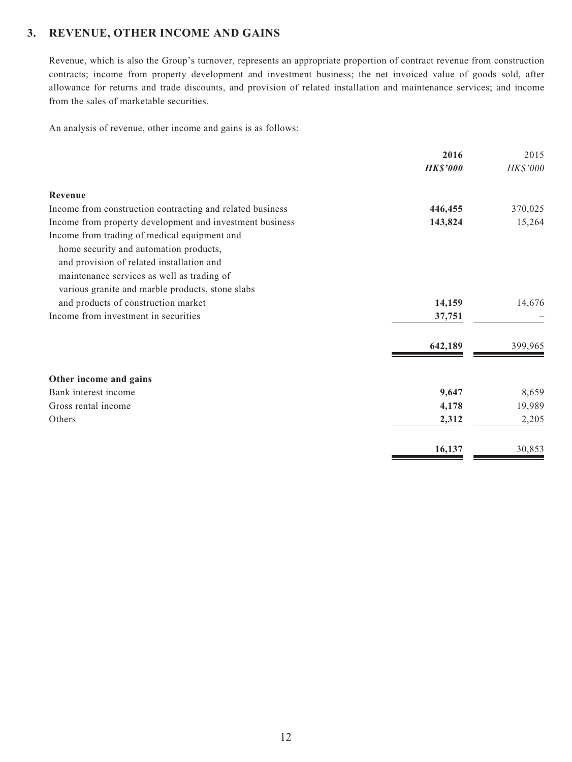## **3. REVENUE, OTHER INCOME AND GAINS**

Revenue, which is also the Group's turnover, represents an appropriate proportion of contract revenue from construction contracts; income from property development and investment business; the net invoiced value of goods sold, after allowance for returns and trade discounts, and provision of related installation and maintenance services; and income from the sales of marketable securities.

An analysis of revenue, other income and gains is as follows:

|                                                           | 2016            | 2015     |
|-----------------------------------------------------------|-----------------|----------|
|                                                           | <b>HK\$'000</b> | HK\$'000 |
| Revenue                                                   |                 |          |
| Income from construction contracting and related business | 446,455         | 370,025  |
| Income from property development and investment business  | 143,824         | 15,264   |
| Income from trading of medical equipment and              |                 |          |
| home security and automation products,                    |                 |          |
| and provision of related installation and                 |                 |          |
| maintenance services as well as trading of                |                 |          |
| various granite and marble products, stone slabs          |                 |          |
| and products of construction market                       | 14,159          | 14,676   |
| Income from investment in securities                      | 37,751          |          |
|                                                           | 642,189         | 399,965  |
| Other income and gains                                    |                 |          |
| Bank interest income                                      | 9,647           | 8,659    |
| Gross rental income                                       | 4,178           | 19,989   |
| Others                                                    | 2,312           | 2,205    |
|                                                           | 16,137          | 30,853   |
|                                                           |                 |          |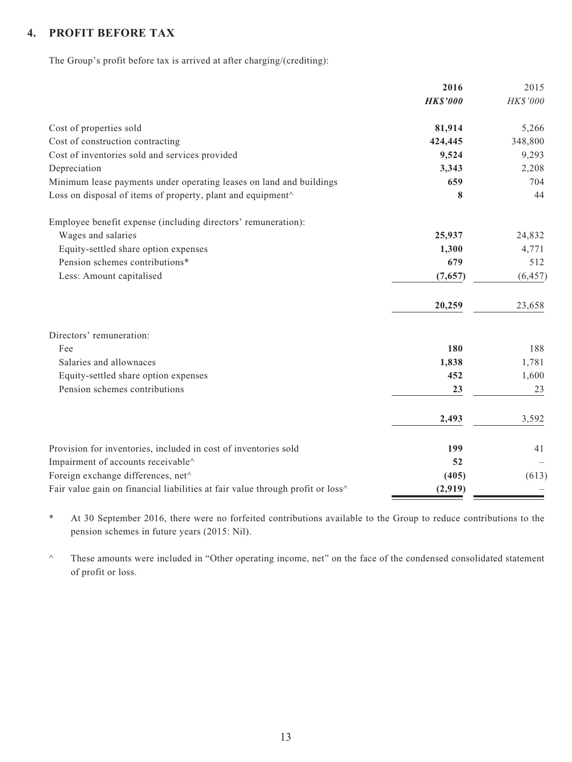### **4. PROFIT BEFORE TAX**

The Group's profit before tax is arrived at after charging/(crediting):

|                                                                                | 2016            | 2015     |
|--------------------------------------------------------------------------------|-----------------|----------|
|                                                                                | <b>HK\$'000</b> | HK\$'000 |
| Cost of properties sold                                                        | 81,914          | 5,266    |
| Cost of construction contracting                                               | 424,445         | 348,800  |
| Cost of inventories sold and services provided                                 | 9,524           | 9,293    |
| Depreciation                                                                   | 3,343           | 2,208    |
| Minimum lease payments under operating leases on land and buildings            | 659             | 704      |
| Loss on disposal of items of property, plant and equipment^                    | 8               | 44       |
| Employee benefit expense (including directors' remuneration):                  |                 |          |
| Wages and salaries                                                             | 25,937          | 24,832   |
| Equity-settled share option expenses                                           | 1,300           | 4,771    |
| Pension schemes contributions*                                                 | 679             | 512      |
| Less: Amount capitalised                                                       | (7,657)         | (6, 457) |
|                                                                                | 20,259          | 23,658   |
| Directors' remuneration:                                                       |                 |          |
| Fee                                                                            | 180             | 188      |
| Salaries and allownaces                                                        | 1,838           | 1,781    |
| Equity-settled share option expenses                                           | 452             | 1,600    |
| Pension schemes contributions                                                  | 23              | 23       |
|                                                                                | 2,493           | 3,592    |
| Provision for inventories, included in cost of inventories sold                | 199             | 41       |
| Impairment of accounts receivable^                                             | 52              |          |
| Foreign exchange differences, net^                                             | (405)           | (613)    |
| Fair value gain on financial liabilities at fair value through profit or loss^ | (2,919)         |          |

\* At 30 September 2016, there were no forfeited contributions available to the Group to reduce contributions to the pension schemes in future years (2015: Nil).

^ These amounts were included in "Other operating income, net" on the face of the condensed consolidated statement of profit or loss.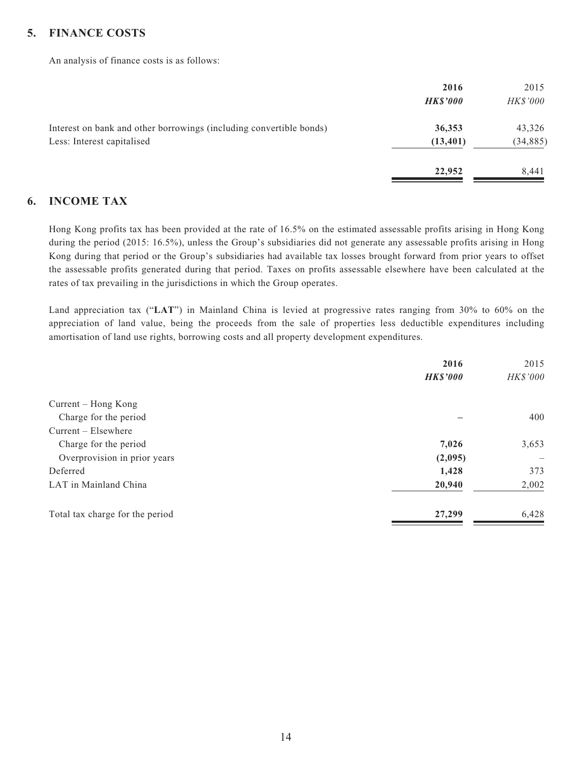#### **5. FINANCE COSTS**

An analysis of finance costs is as follows:

|                                                                     | 2016           | 2015            |
|---------------------------------------------------------------------|----------------|-----------------|
|                                                                     | <b>HKS'000</b> | <b>HK\$'000</b> |
| Interest on bank and other borrowings (including convertible bonds) | 36,353         | 43,326          |
| Less: Interest capitalised                                          | (13, 401)      | (34, 885)       |
|                                                                     | 22,952         | 8,441           |

#### **6. INCOME TAX**

Hong Kong profits tax has been provided at the rate of 16.5% on the estimated assessable profits arising in Hong Kong during the period (2015: 16.5%), unless the Group's subsidiaries did not generate any assessable profits arising in Hong Kong during that period or the Group's subsidiaries had available tax losses brought forward from prior years to offset the assessable profits generated during that period. Taxes on profits assessable elsewhere have been calculated at the rates of tax prevailing in the jurisdictions in which the Group operates.

Land appreciation tax ("**LAT**") in Mainland China is levied at progressive rates ranging from 30% to 60% on the appreciation of land value, being the proceeds from the sale of properties less deductible expenditures including amortisation of land use rights, borrowing costs and all property development expenditures.

|                                 | 2016            | 2015     |
|---------------------------------|-----------------|----------|
|                                 | <b>HK\$'000</b> | HK\$'000 |
| Current – Hong Kong             |                 |          |
| Charge for the period           |                 | 400      |
| $Current - Elsewhere$           |                 |          |
| Charge for the period           | 7,026           | 3,653    |
| Overprovision in prior years    | (2,095)         |          |
| Deferred                        | 1,428           | 373      |
| LAT in Mainland China           | 20,940          | 2,002    |
| Total tax charge for the period | 27,299          | 6,428    |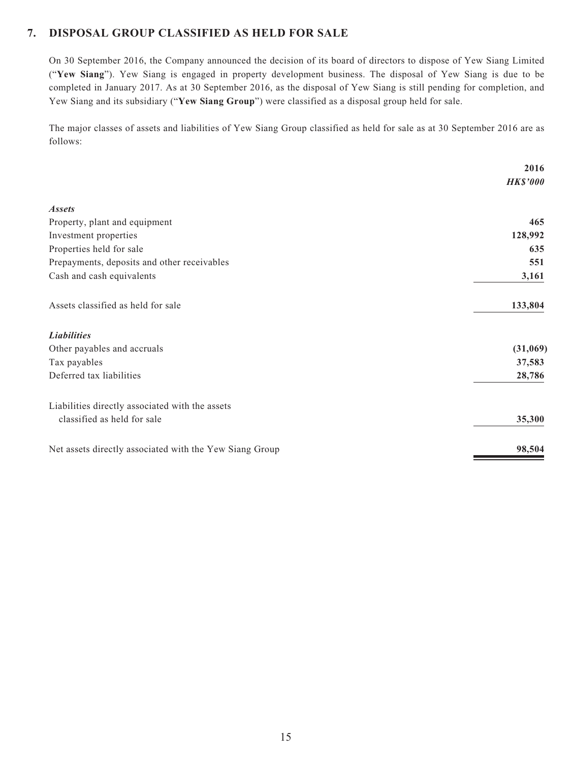### **7. DISPOSAL GROUP CLASSIFIED AS HELD FOR SALE**

On 30 September 2016, the Company announced the decision of its board of directors to dispose of Yew Siang Limited ("**Yew Siang**"). Yew Siang is engaged in property development business. The disposal of Yew Siang is due to be completed in January 2017. As at 30 September 2016, as the disposal of Yew Siang is still pending for completion, and Yew Siang and its subsidiary ("**Yew Siang Group**") were classified as a disposal group held for sale.

The major classes of assets and liabilities of Yew Siang Group classified as held for sale as at 30 September 2016 are as follows:

|                                                         | 2016            |
|---------------------------------------------------------|-----------------|
|                                                         | <b>HK\$'000</b> |
| <b>Assets</b>                                           |                 |
| Property, plant and equipment                           | 465             |
| Investment properties                                   | 128,992         |
| Properties held for sale                                | 635             |
| Prepayments, deposits and other receivables             | 551             |
| Cash and cash equivalents                               | 3,161           |
| Assets classified as held for sale                      | 133,804         |
| <b>Liabilities</b>                                      |                 |
| Other payables and accruals                             | (31,069)        |
| Tax payables                                            | 37,583          |
| Deferred tax liabilities                                | 28,786          |
| Liabilities directly associated with the assets         |                 |
| classified as held for sale                             | 35,300          |
| Net assets directly associated with the Yew Siang Group | 98,504          |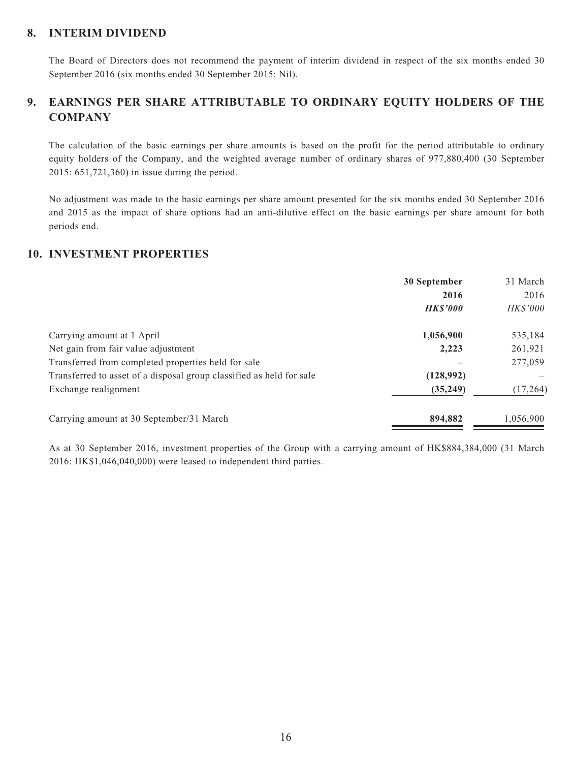#### **8. INTERIM DIVIDEND**

The Board of Directors does not recommend the payment of interim dividend in respect of the six months ended 30 September 2016 (six months ended 30 September 2015: Nil).

### **9. EARNINGS PER SHARE ATTRIBUTABLE TO ORDINARY EQUITY HOLDERS OF THE COMPANY**

The calculation of the basic earnings per share amounts is based on the profit for the period attributable to ordinary equity holders of the Company, and the weighted average number of ordinary shares of 977,880,400 (30 September 2015: 651,721,360) in issue during the period.

No adjustment was made to the basic earnings per share amount presented for the six months ended 30 September 2016 and 2015 as the impact of share options had an anti-dilutive effect on the basic earnings per share amount for both periods end.

#### **10. INVESTMENT PROPERTIES**

|                                                                      | 30 September   | 31 March        |
|----------------------------------------------------------------------|----------------|-----------------|
|                                                                      | 2016           | 2016            |
|                                                                      | <b>HKS'000</b> | <i>HK\$'000</i> |
| Carrying amount at 1 April                                           | 1,056,900      | 535,184         |
| Net gain from fair value adjustment                                  | 2,223          | 261,921         |
| Transferred from completed properties held for sale                  |                | 277,059         |
| Transferred to asset of a disposal group classified as held for sale | (128,992)      |                 |
| Exchange realignment                                                 | (35,249)       | (17,264)        |
| Carrying amount at 30 September/31 March                             | 894,882        | 1.056.900       |

As at 30 September 2016, investment properties of the Group with a carrying amount of HK\$884,384,000 (31 March 2016: HK\$1,046,040,000) were leased to independent third parties.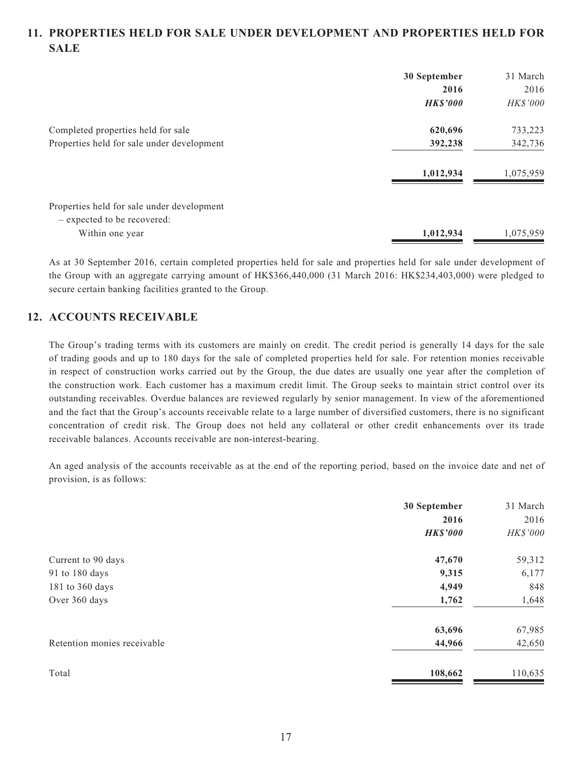### **11. PROPERTIES HELD FOR SALE UNDER DEVELOPMENT AND PROPERTIES HELD FOR SALE**

|                                                                                              | 30 September<br>2016<br><b>HKS'000</b> | 31 March<br>2016<br>HK\$'000 |
|----------------------------------------------------------------------------------------------|----------------------------------------|------------------------------|
| Completed properties held for sale<br>Properties held for sale under development             | 620,696<br>392,238                     | 733,223<br>342,736           |
|                                                                                              | 1,012,934                              | 1,075,959                    |
| Properties held for sale under development<br>- expected to be recovered:<br>Within one year | 1,012,934                              | 1,075,959                    |

As at 30 September 2016, certain completed properties held for sale and properties held for sale under development of the Group with an aggregate carrying amount of HK\$366,440,000 (31 March 2016: HK\$234,403,000) were pledged to secure certain banking facilities granted to the Group.

#### **12. ACCOUNTS RECEIVABLE**

The Group's trading terms with its customers are mainly on credit. The credit period is generally 14 days for the sale of trading goods and up to 180 days for the sale of completed properties held for sale. For retention monies receivable in respect of construction works carried out by the Group, the due dates are usually one year after the completion of the construction work. Each customer has a maximum credit limit. The Group seeks to maintain strict control over its outstanding receivables. Overdue balances are reviewed regularly by senior management. In view of the aforementioned and the fact that the Group's accounts receivable relate to a large number of diversified customers, there is no significant concentration of credit risk. The Group does not held any collateral or other credit enhancements over its trade receivable balances. Accounts receivable are non-interest-bearing.

An aged analysis of the accounts receivable as at the end of the reporting period, based on the invoice date and net of provision, is as follows:

| 30 September    | 31 March |
|-----------------|----------|
| 2016            | 2016     |
| <b>HK\$'000</b> | HK\$'000 |
| 47,670          | 59,312   |
| 9,315           | 6,177    |
| 4,949           | 848      |
| 1,762           | 1,648    |
| 63,696          | 67,985   |
| 44,966          | 42,650   |
| 108,662         | 110,635  |
|                 |          |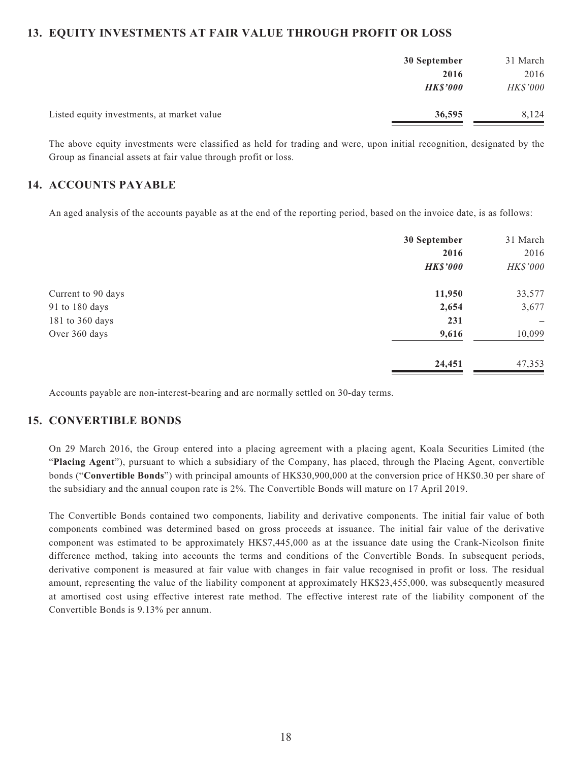#### **13. EQUITY INVESTMENTS AT FAIR VALUE THROUGH PROFIT OR LOSS**

|                                            | 30 September    | 31 March        |
|--------------------------------------------|-----------------|-----------------|
|                                            | 2016            | 2016            |
|                                            | <b>HK\$'000</b> | <b>HK\$'000</b> |
| Listed equity investments, at market value | 36,595          | 8.124           |

The above equity investments were classified as held for trading and were, upon initial recognition, designated by the Group as financial assets at fair value through profit or loss.

#### **14. ACCOUNTS PAYABLE**

An aged analysis of the accounts payable as at the end of the reporting period, based on the invoice date, is as follows:

| 30 September    | 31 March                 |
|-----------------|--------------------------|
| 2016            | 2016                     |
| <b>HK\$'000</b> | HK\$'000                 |
| 11,950          | 33,577                   |
| 2,654           | 3,677                    |
| 231             | $\overline{\phantom{0}}$ |
| 9,616           | 10,099                   |
| 24,451          | 47,353                   |
|                 |                          |

Accounts payable are non-interest-bearing and are normally settled on 30-day terms.

#### **15. CONVERTIBLE BONDS**

On 29 March 2016, the Group entered into a placing agreement with a placing agent, Koala Securities Limited (the "**Placing Agent**"), pursuant to which a subsidiary of the Company, has placed, through the Placing Agent, convertible bonds ("**Convertible Bonds**") with principal amounts of HK\$30,900,000 at the conversion price of HK\$0.30 per share of the subsidiary and the annual coupon rate is 2%. The Convertible Bonds will mature on 17 April 2019.

The Convertible Bonds contained two components, liability and derivative components. The initial fair value of both components combined was determined based on gross proceeds at issuance. The initial fair value of the derivative component was estimated to be approximately HK\$7,445,000 as at the issuance date using the Crank-Nicolson finite difference method, taking into accounts the terms and conditions of the Convertible Bonds. In subsequent periods, derivative component is measured at fair value with changes in fair value recognised in profit or loss. The residual amount, representing the value of the liability component at approximately HK\$23,455,000, was subsequently measured at amortised cost using effective interest rate method. The effective interest rate of the liability component of the Convertible Bonds is 9.13% per annum.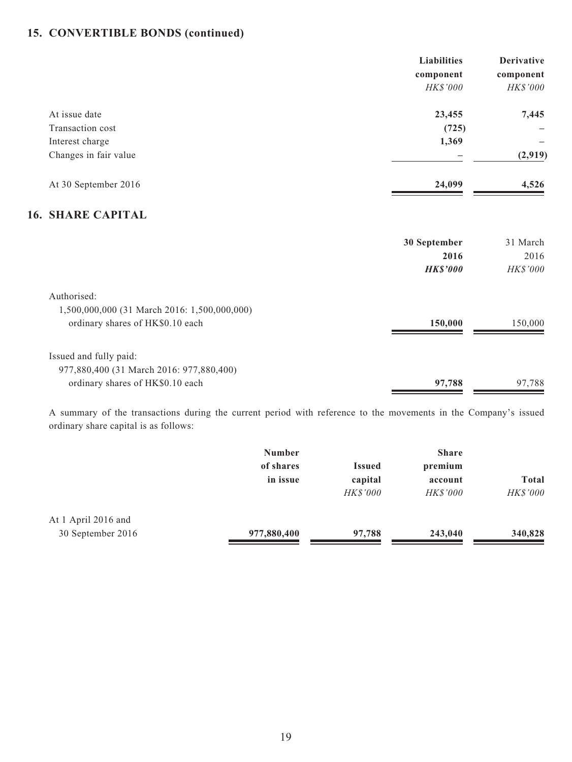### **15. CONVERTIBLE BONDS (continued)**

|             |                                              | Liabilities<br>component<br>HK\$'000 | <b>Derivative</b><br>component<br>HK\$'000 |
|-------------|----------------------------------------------|--------------------------------------|--------------------------------------------|
|             | At issue date                                | 23,455                               | 7,445                                      |
|             | Transaction cost                             | (725)                                |                                            |
|             | Interest charge                              | 1,369                                |                                            |
|             | Changes in fair value                        |                                      | (2,919)                                    |
|             | At 30 September 2016                         | 24,099                               | 4,526                                      |
|             | <b>16. SHARE CAPITAL</b>                     |                                      |                                            |
|             |                                              | 30 September                         | 31 March                                   |
|             |                                              | 2016                                 | 2016                                       |
|             |                                              | <b>HK\$'000</b>                      | <b>HK\$'000</b>                            |
| Authorised: |                                              |                                      |                                            |
|             | 1,500,000,000 (31 March 2016: 1,500,000,000) |                                      |                                            |
|             | ordinary shares of HK\$0.10 each             | 150,000                              | 150,000                                    |
|             | Issued and fully paid:                       |                                      |                                            |
|             | 977,880,400 (31 March 2016: 977,880,400)     |                                      |                                            |
|             | ordinary shares of HK\$0.10 each             | 97,788                               | 97,788                                     |

A summary of the transactions during the current period with reference to the movements in the Company's issued ordinary share capital is as follows:

|                     | <b>Number</b> |                 | <b>Share</b>    |                 |
|---------------------|---------------|-----------------|-----------------|-----------------|
|                     | of shares     | <b>Issued</b>   | premium         |                 |
|                     | in issue      | capital         | account         | <b>Total</b>    |
|                     |               | <i>HK\$'000</i> | <i>HK\$'000</i> | <i>HK\$'000</i> |
| At 1 April 2016 and |               |                 |                 |                 |
| 30 September 2016   | 977,880,400   | 97,788          | 243,040         | 340,828         |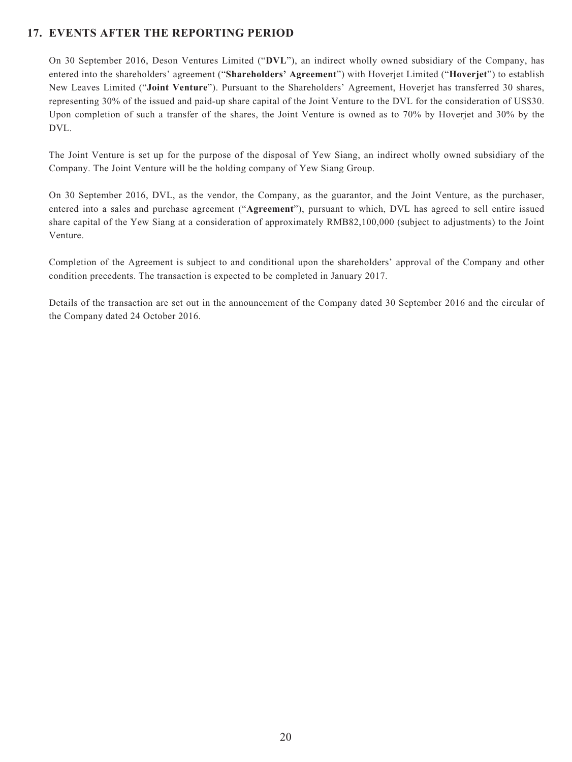#### **17. EVENTS AFTER THE REPORTING PERIOD**

On 30 September 2016, Deson Ventures Limited ("**DVL**"), an indirect wholly owned subsidiary of the Company, has entered into the shareholders' agreement ("**Shareholders' Agreement**") with Hoverjet Limited ("**Hoverjet**") to establish New Leaves Limited ("**Joint Venture**"). Pursuant to the Shareholders' Agreement, Hoverjet has transferred 30 shares, representing 30% of the issued and paid-up share capital of the Joint Venture to the DVL for the consideration of US\$30. Upon completion of such a transfer of the shares, the Joint Venture is owned as to 70% by Hoverjet and 30% by the DVL.

The Joint Venture is set up for the purpose of the disposal of Yew Siang, an indirect wholly owned subsidiary of the Company. The Joint Venture will be the holding company of Yew Siang Group.

On 30 September 2016, DVL, as the vendor, the Company, as the guarantor, and the Joint Venture, as the purchaser, entered into a sales and purchase agreement ("**Agreement**"), pursuant to which, DVL has agreed to sell entire issued share capital of the Yew Siang at a consideration of approximately RMB82,100,000 (subject to adjustments) to the Joint Venture.

Completion of the Agreement is subject to and conditional upon the shareholders' approval of the Company and other condition precedents. The transaction is expected to be completed in January 2017.

Details of the transaction are set out in the announcement of the Company dated 30 September 2016 and the circular of the Company dated 24 October 2016.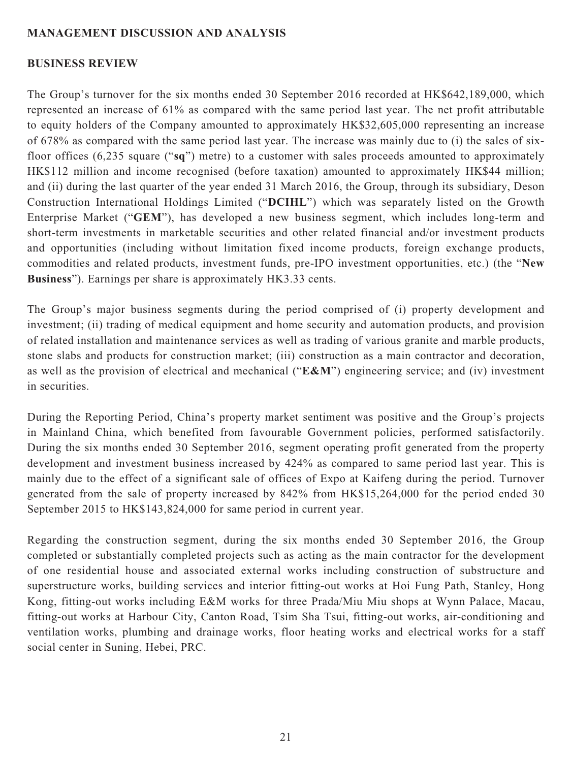#### **MANAGEMENT DISCUSSION AND ANALYSIS**

#### **BUSINESS REVIEW**

The Group's turnover for the six months ended 30 September 2016 recorded at HK\$642,189,000, which represented an increase of 61% as compared with the same period last year. The net profit attributable to equity holders of the Company amounted to approximately HK\$32,605,000 representing an increase of 678% as compared with the same period last year. The increase was mainly due to (i) the sales of sixfloor offices (6,235 square ("**sq**") metre) to a customer with sales proceeds amounted to approximately HK\$112 million and income recognised (before taxation) amounted to approximately HK\$44 million; and (ii) during the last quarter of the year ended 31 March 2016, the Group, through its subsidiary, Deson Construction International Holdings Limited ("**DCIHL**") which was separately listed on the Growth Enterprise Market ("**GEM**"), has developed a new business segment, which includes long-term and short-term investments in marketable securities and other related financial and/or investment products and opportunities (including without limitation fixed income products, foreign exchange products, commodities and related products, investment funds, pre-IPO investment opportunities, etc.) (the "**New Business**"). Earnings per share is approximately HK3.33 cents.

The Group's major business segments during the period comprised of (i) property development and investment; (ii) trading of medical equipment and home security and automation products, and provision of related installation and maintenance services as well as trading of various granite and marble products, stone slabs and products for construction market; (iii) construction as a main contractor and decoration, as well as the provision of electrical and mechanical ("**E&M**") engineering service; and (iv) investment in securities.

During the Reporting Period, China's property market sentiment was positive and the Group's projects in Mainland China, which benefited from favourable Government policies, performed satisfactorily. During the six months ended 30 September 2016, segment operating profit generated from the property development and investment business increased by 424% as compared to same period last year. This is mainly due to the effect of a significant sale of offices of Expo at Kaifeng during the period. Turnover generated from the sale of property increased by 842% from HK\$15,264,000 for the period ended 30 September 2015 to HK\$143,824,000 for same period in current year.

Regarding the construction segment, during the six months ended 30 September 2016, the Group completed or substantially completed projects such as acting as the main contractor for the development of one residential house and associated external works including construction of substructure and superstructure works, building services and interior fitting-out works at Hoi Fung Path, Stanley, Hong Kong, fitting-out works including E&M works for three Prada/Miu Miu shops at Wynn Palace, Macau, fitting-out works at Harbour City, Canton Road, Tsim Sha Tsui, fitting-out works, air-conditioning and ventilation works, plumbing and drainage works, floor heating works and electrical works for a staff social center in Suning, Hebei, PRC.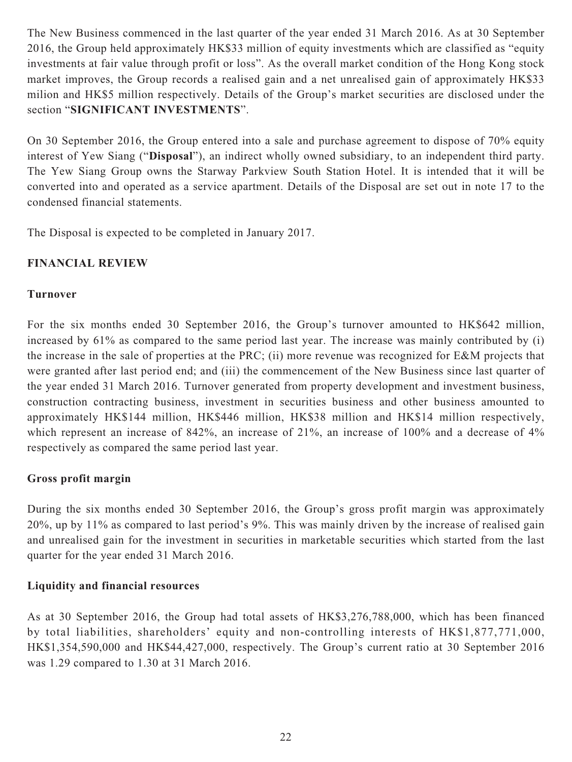The New Business commenced in the last quarter of the year ended 31 March 2016. As at 30 September 2016, the Group held approximately HK\$33 million of equity investments which are classified as "equity investments at fair value through profit or loss". As the overall market condition of the Hong Kong stock market improves, the Group records a realised gain and a net unrealised gain of approximately HK\$33 milion and HK\$5 million respectively. Details of the Group's market securities are disclosed under the section "**SIGNIFICANT INVESTMENTS**".

On 30 September 2016, the Group entered into a sale and purchase agreement to dispose of 70% equity interest of Yew Siang ("**Disposal**"), an indirect wholly owned subsidiary, to an independent third party. The Yew Siang Group owns the Starway Parkview South Station Hotel. It is intended that it will be converted into and operated as a service apartment. Details of the Disposal are set out in note 17 to the condensed financial statements.

The Disposal is expected to be completed in January 2017.

#### **FINANCIAL REVIEW**

#### **Turnover**

For the six months ended 30 September 2016, the Group's turnover amounted to HK\$642 million, increased by 61% as compared to the same period last year. The increase was mainly contributed by (i) the increase in the sale of properties at the PRC; (ii) more revenue was recognized for E&M projects that were granted after last period end; and (iii) the commencement of the New Business since last quarter of the year ended 31 March 2016. Turnover generated from property development and investment business, construction contracting business, investment in securities business and other business amounted to approximately HK\$144 million, HK\$446 million, HK\$38 million and HK\$14 million respectively, which represent an increase of 842%, an increase of 21%, an increase of 100% and a decrease of 4% respectively as compared the same period last year.

#### **Gross profit margin**

During the six months ended 30 September 2016, the Group's gross profit margin was approximately 20%, up by 11% as compared to last period's 9%. This was mainly driven by the increase of realised gain and unrealised gain for the investment in securities in marketable securities which started from the last quarter for the year ended 31 March 2016.

#### **Liquidity and financial resources**

As at 30 September 2016, the Group had total assets of HK\$3,276,788,000, which has been financed by total liabilities, shareholders' equity and non-controlling interests of HK\$1,877,771,000, HK\$1,354,590,000 and HK\$44,427,000, respectively. The Group's current ratio at 30 September 2016 was 1.29 compared to 1.30 at 31 March 2016.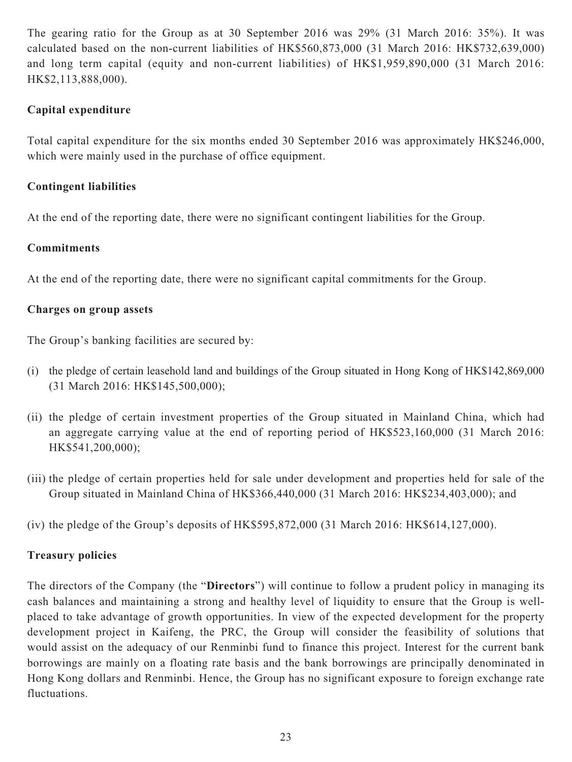The gearing ratio for the Group as at 30 September 2016 was 29% (31 March 2016: 35%). It was calculated based on the non-current liabilities of HK\$560,873,000 (31 March 2016: HK\$732,639,000) and long term capital (equity and non-current liabilities) of HK\$1,959,890,000 (31 March 2016: HK\$2,113,888,000).

### **Capital expenditure**

Total capital expenditure for the six months ended 30 September 2016 was approximately HK\$246,000, which were mainly used in the purchase of office equipment.

### **Contingent liabilities**

At the end of the reporting date, there were no significant contingent liabilities for the Group.

### **Commitments**

At the end of the reporting date, there were no significant capital commitments for the Group.

### **Charges on group assets**

The Group's banking facilities are secured by:

- (i) the pledge of certain leasehold land and buildings of the Group situated in Hong Kong of HK\$142,869,000 (31 March 2016: HK\$145,500,000);
- (ii) the pledge of certain investment properties of the Group situated in Mainland China, which had an aggregate carrying value at the end of reporting period of HK\$523,160,000 (31 March 2016: HK\$541,200,000);
- (iii) the pledge of certain properties held for sale under development and properties held for sale of the Group situated in Mainland China of HK\$366,440,000 (31 March 2016: HK\$234,403,000); and
- (iv) the pledge of the Group's deposits of HK\$595,872,000 (31 March 2016: HK\$614,127,000).

### **Treasury policies**

The directors of the Company (the "**Directors**") will continue to follow a prudent policy in managing its cash balances and maintaining a strong and healthy level of liquidity to ensure that the Group is wellplaced to take advantage of growth opportunities. In view of the expected development for the property development project in Kaifeng, the PRC, the Group will consider the feasibility of solutions that would assist on the adequacy of our Renminbi fund to finance this project. Interest for the current bank borrowings are mainly on a floating rate basis and the bank borrowings are principally denominated in Hong Kong dollars and Renminbi. Hence, the Group has no significant exposure to foreign exchange rate fluctuations.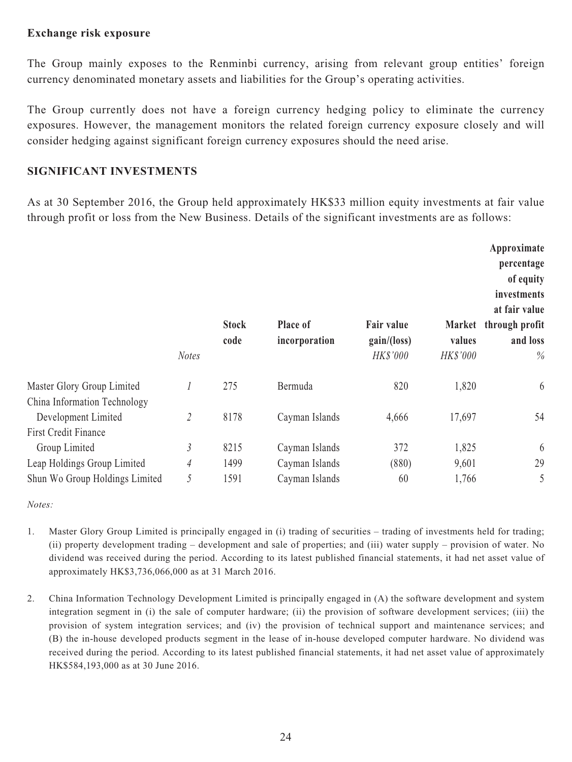#### **Exchange risk exposure**

The Group mainly exposes to the Renminbi currency, arising from relevant group entities' foreign currency denominated monetary assets and liabilities for the Group's operating activities.

The Group currently does not have a foreign currency hedging policy to eliminate the currency exposures. However, the management monitors the related foreign currency exposure closely and will consider hedging against significant foreign currency exposures should the need arise.

#### **SIGNIFICANT INVESTMENTS**

As at 30 September 2016, the Group held approximately HK\$33 million equity investments at fair value through profit or loss from the New Business. Details of the significant investments are as follows:

|                                | <b>Notes</b>   | <b>Stock</b><br>code | Place of<br>incorporation | Fair value<br>gain/(loss)<br>HK\$'000 | Market<br>values<br>HK\$'000 | Approximate<br>percentage<br>of equity<br>investments<br>at fair value<br>through profit<br>and loss<br>$\%$ |
|--------------------------------|----------------|----------------------|---------------------------|---------------------------------------|------------------------------|--------------------------------------------------------------------------------------------------------------|
| Master Glory Group Limited     |                | 275                  | Bermuda                   | 820                                   | 1,820                        | 6                                                                                                            |
| China Information Technology   |                |                      |                           |                                       |                              |                                                                                                              |
| Development Limited            | $\overline{2}$ | 8178                 | Cayman Islands            | 4,666                                 | 17,697                       | 54                                                                                                           |
| <b>First Credit Finance</b>    |                |                      |                           |                                       |                              |                                                                                                              |
| Group Limited                  | $\mathfrak{Z}$ | 8215                 | Cayman Islands            | 372                                   | 1,825                        | 6                                                                                                            |
| Leap Holdings Group Limited    | $\overline{4}$ | 1499                 | Cayman Islands            | (880)                                 | 9,601                        | 29                                                                                                           |
| Shun Wo Group Holdings Limited | 5              | 1591                 | Cayman Islands            | 60                                    | 1,766                        | 5                                                                                                            |

*Notes:*

- 1. Master Glory Group Limited is principally engaged in (i) trading of securities trading of investments held for trading; (ii) property development trading – development and sale of properties; and (iii) water supply – provision of water. No dividend was received during the period. According to its latest published financial statements, it had net asset value of approximately HK\$3,736,066,000 as at 31 March 2016.
- 2. China Information Technology Development Limited is principally engaged in (A) the software development and system integration segment in (i) the sale of computer hardware; (ii) the provision of software development services; (iii) the provision of system integration services; and (iv) the provision of technical support and maintenance services; and (B) the in-house developed products segment in the lease of in-house developed computer hardware. No dividend was received during the period. According to its latest published financial statements, it had net asset value of approximately HK\$584,193,000 as at 30 June 2016.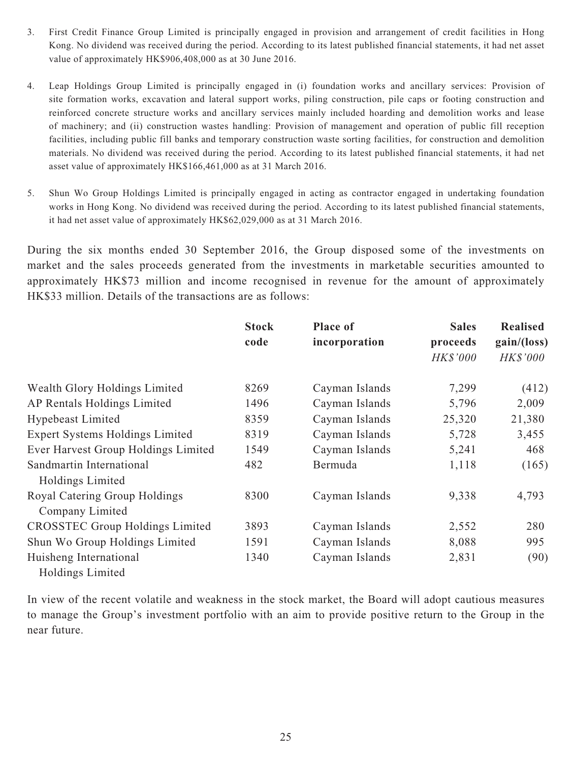- 3. First Credit Finance Group Limited is principally engaged in provision and arrangement of credit facilities in Hong Kong. No dividend was received during the period. According to its latest published financial statements, it had net asset value of approximately HK\$906,408,000 as at 30 June 2016.
- 4. Leap Holdings Group Limited is principally engaged in (i) foundation works and ancillary services: Provision of site formation works, excavation and lateral support works, piling construction, pile caps or footing construction and reinforced concrete structure works and ancillary services mainly included hoarding and demolition works and lease of machinery; and (ii) construction wastes handling: Provision of management and operation of public fill reception facilities, including public fill banks and temporary construction waste sorting facilities, for construction and demolition materials. No dividend was received during the period. According to its latest published financial statements, it had net asset value of approximately HK\$166,461,000 as at 31 March 2016.
- 5. Shun Wo Group Holdings Limited is principally engaged in acting as contractor engaged in undertaking foundation works in Hong Kong. No dividend was received during the period. According to its latest published financial statements, it had net asset value of approximately HK\$62,029,000 as at 31 March 2016.

During the six months ended 30 September 2016, the Group disposed some of the investments on market and the sales proceeds generated from the investments in marketable securities amounted to approximately HK\$73 million and income recognised in revenue for the amount of approximately HK\$33 million. Details of the transactions are as follows:

|                                        | <b>Stock</b><br>code | <b>Place of</b> | <b>Sales</b><br>proceeds | <b>Realised</b><br>gain/(loss) |
|----------------------------------------|----------------------|-----------------|--------------------------|--------------------------------|
|                                        |                      | incorporation   |                          |                                |
|                                        |                      |                 | <b>HK\$'000</b>          | HK\$'000                       |
| Wealth Glory Holdings Limited          | 8269                 | Cayman Islands  | 7,299                    | (412)                          |
| AP Rentals Holdings Limited            | 1496                 | Cayman Islands  | 5,796                    | 2,009                          |
| <b>Hypebeast Limited</b>               | 8359                 | Cayman Islands  | 25,320                   | 21,380                         |
| <b>Expert Systems Holdings Limited</b> | 8319                 | Cayman Islands  | 5,728                    | 3,455                          |
| Ever Harvest Group Holdings Limited    | 1549                 | Cayman Islands  | 5,241                    | 468                            |
| Sandmartin International               | 482                  | Bermuda         | 1,118                    | (165)                          |
| Holdings Limited                       |                      |                 |                          |                                |
| Royal Catering Group Holdings          | 8300                 | Cayman Islands  | 9,338                    | 4,793                          |
| Company Limited                        |                      |                 |                          |                                |
| <b>CROSSTEC Group Holdings Limited</b> | 3893                 | Cayman Islands  | 2,552                    | 280                            |
| Shun Wo Group Holdings Limited         | 1591                 | Cayman Islands  | 8,088                    | 995                            |
| Huisheng International                 | 1340                 | Cayman Islands  | 2,831                    | (90)                           |
| Holdings Limited                       |                      |                 |                          |                                |

In view of the recent volatile and weakness in the stock market, the Board will adopt cautious measures to manage the Group's investment portfolio with an aim to provide positive return to the Group in the near future.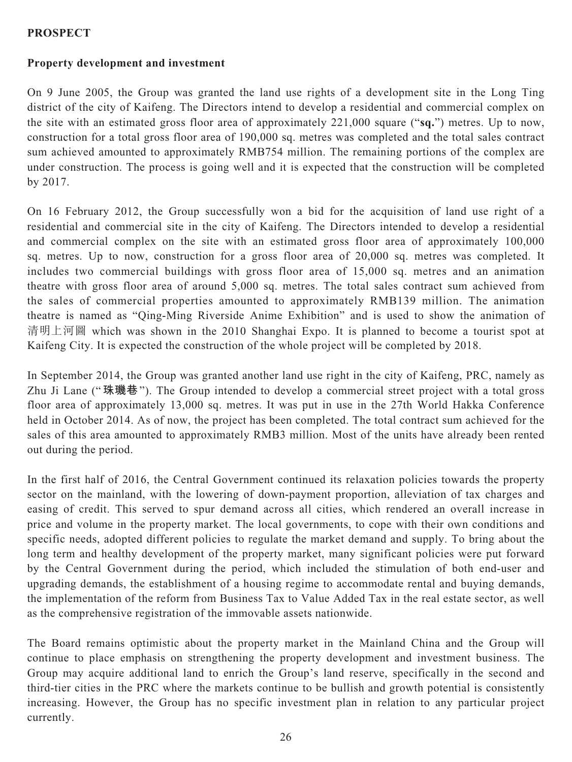#### **PROSPECT**

## **Property development and investment**

On 9 June 2005, the Group was granted the land use rights of a development site in the Long Ting district of the city of Kaifeng. The Directors intend to develop a residential and commercial complex on the site with an estimated gross floor area of approximately 221,000 square ("**sq.**") metres. Up to now, construction for a total gross floor area of 190,000 sq. metres was completed and the total sales contract sum achieved amounted to approximately RMB754 million. The remaining portions of the complex are under construction. The process is going well and it is expected that the construction will be completed by 2017.

On 16 February 2012, the Group successfully won a bid for the acquisition of land use right of a residential and commercial site in the city of Kaifeng. The Directors intended to develop a residential and commercial complex on the site with an estimated gross floor area of approximately 100,000 sq. metres. Up to now, construction for a gross floor area of 20,000 sq. metres was completed. It includes two commercial buildings with gross floor area of 15,000 sq. metres and an animation theatre with gross floor area of around 5,000 sq. metres. The total sales contract sum achieved from the sales of commercial properties amounted to approximately RMB139 million. The animation theatre is named as "Qing-Ming Riverside Anime Exhibition" and is used to show the animation of 清明上河圖 which was shown in the 2010 Shanghai Expo. It is planned to become a tourist spot at Kaifeng City. It is expected the construction of the whole project will be completed by 2018.

In September 2014, the Group was granted another land use right in the city of Kaifeng, PRC, namely as Zhu Ji Lane ("**珠璣巷**"). The Group intended to develop a commercial street project with a total gross floor area of approximately 13,000 sq. metres. It was put in use in the 27th World Hakka Conference held in October 2014. As of now, the project has been completed. The total contract sum achieved for the sales of this area amounted to approximately RMB3 million. Most of the units have already been rented out during the period.

In the first half of 2016, the Central Government continued its relaxation policies towards the property sector on the mainland, with the lowering of down-payment proportion, alleviation of tax charges and easing of credit. This served to spur demand across all cities, which rendered an overall increase in price and volume in the property market. The local governments, to cope with their own conditions and specific needs, adopted different policies to regulate the market demand and supply. To bring about the long term and healthy development of the property market, many significant policies were put forward by the Central Government during the period, which included the stimulation of both end-user and upgrading demands, the establishment of a housing regime to accommodate rental and buying demands, the implementation of the reform from Business Tax to Value Added Tax in the real estate sector, as well as the comprehensive registration of the immovable assets nationwide.

The Board remains optimistic about the property market in the Mainland China and the Group will continue to place emphasis on strengthening the property development and investment business. The Group may acquire additional land to enrich the Group's land reserve, specifically in the second and third-tier cities in the PRC where the markets continue to be bullish and growth potential is consistently increasing. However, the Group has no specific investment plan in relation to any particular project currently.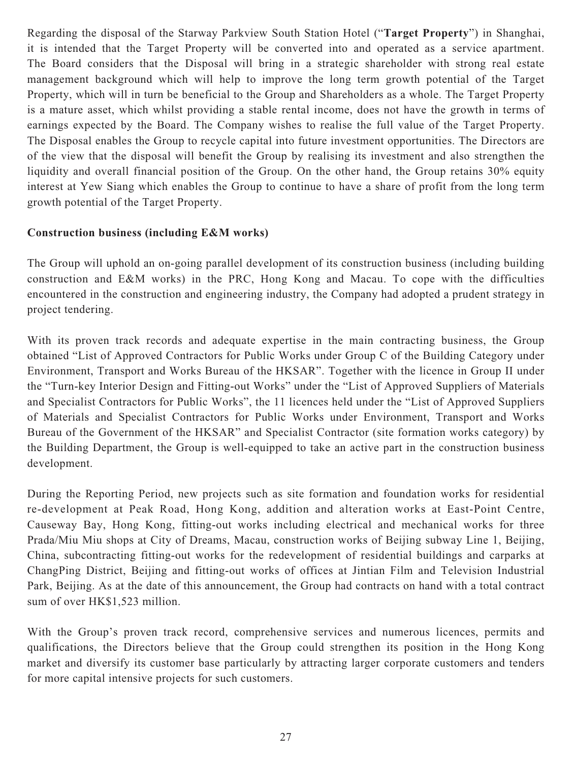Regarding the disposal of the Starway Parkview South Station Hotel ("**Target Property**") in Shanghai, it is intended that the Target Property will be converted into and operated as a service apartment. The Board considers that the Disposal will bring in a strategic shareholder with strong real estate management background which will help to improve the long term growth potential of the Target Property, which will in turn be beneficial to the Group and Shareholders as a whole. The Target Property is a mature asset, which whilst providing a stable rental income, does not have the growth in terms of earnings expected by the Board. The Company wishes to realise the full value of the Target Property. The Disposal enables the Group to recycle capital into future investment opportunities. The Directors are of the view that the disposal will benefit the Group by realising its investment and also strengthen the liquidity and overall financial position of the Group. On the other hand, the Group retains 30% equity interest at Yew Siang which enables the Group to continue to have a share of profit from the long term growth potential of the Target Property.

### **Construction business (including E&M works)**

The Group will uphold an on-going parallel development of its construction business (including building construction and E&M works) in the PRC, Hong Kong and Macau. To cope with the difficulties encountered in the construction and engineering industry, the Company had adopted a prudent strategy in project tendering.

With its proven track records and adequate expertise in the main contracting business, the Group obtained "List of Approved Contractors for Public Works under Group C of the Building Category under Environment, Transport and Works Bureau of the HKSAR". Together with the licence in Group II under the "Turn-key Interior Design and Fitting-out Works" under the "List of Approved Suppliers of Materials and Specialist Contractors for Public Works", the 11 licences held under the "List of Approved Suppliers of Materials and Specialist Contractors for Public Works under Environment, Transport and Works Bureau of the Government of the HKSAR" and Specialist Contractor (site formation works category) by the Building Department, the Group is well-equipped to take an active part in the construction business development.

During the Reporting Period, new projects such as site formation and foundation works for residential re-development at Peak Road, Hong Kong, addition and alteration works at East-Point Centre, Causeway Bay, Hong Kong, fitting-out works including electrical and mechanical works for three Prada/Miu Miu shops at City of Dreams, Macau, construction works of Beijing subway Line 1, Beijing, China, subcontracting fitting-out works for the redevelopment of residential buildings and carparks at ChangPing District, Beijing and fitting-out works of offices at Jintian Film and Television Industrial Park, Beijing. As at the date of this announcement, the Group had contracts on hand with a total contract sum of over HK\$1,523 million.

With the Group's proven track record, comprehensive services and numerous licences, permits and qualifications, the Directors believe that the Group could strengthen its position in the Hong Kong market and diversify its customer base particularly by attracting larger corporate customers and tenders for more capital intensive projects for such customers.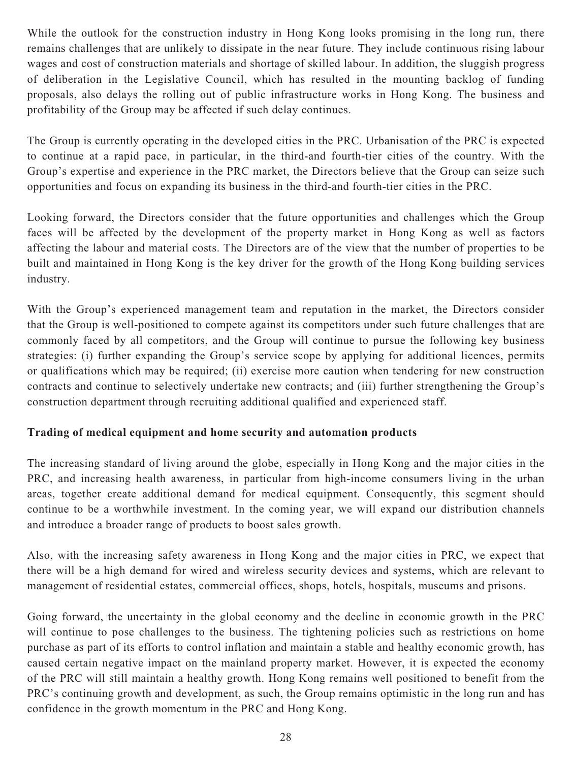While the outlook for the construction industry in Hong Kong looks promising in the long run, there remains challenges that are unlikely to dissipate in the near future. They include continuous rising labour wages and cost of construction materials and shortage of skilled labour. In addition, the sluggish progress of deliberation in the Legislative Council, which has resulted in the mounting backlog of funding proposals, also delays the rolling out of public infrastructure works in Hong Kong. The business and profitability of the Group may be affected if such delay continues.

The Group is currently operating in the developed cities in the PRC. Urbanisation of the PRC is expected to continue at a rapid pace, in particular, in the third-and fourth-tier cities of the country. With the Group's expertise and experience in the PRC market, the Directors believe that the Group can seize such opportunities and focus on expanding its business in the third-and fourth-tier cities in the PRC.

Looking forward, the Directors consider that the future opportunities and challenges which the Group faces will be affected by the development of the property market in Hong Kong as well as factors affecting the labour and material costs. The Directors are of the view that the number of properties to be built and maintained in Hong Kong is the key driver for the growth of the Hong Kong building services industry.

With the Group's experienced management team and reputation in the market, the Directors consider that the Group is well-positioned to compete against its competitors under such future challenges that are commonly faced by all competitors, and the Group will continue to pursue the following key business strategies: (i) further expanding the Group's service scope by applying for additional licences, permits or qualifications which may be required; (ii) exercise more caution when tendering for new construction contracts and continue to selectively undertake new contracts; and (iii) further strengthening the Group's construction department through recruiting additional qualified and experienced staff.

### **Trading of medical equipment and home security and automation products**

The increasing standard of living around the globe, especially in Hong Kong and the major cities in the PRC, and increasing health awareness, in particular from high-income consumers living in the urban areas, together create additional demand for medical equipment. Consequently, this segment should continue to be a worthwhile investment. In the coming year, we will expand our distribution channels and introduce a broader range of products to boost sales growth.

Also, with the increasing safety awareness in Hong Kong and the major cities in PRC, we expect that there will be a high demand for wired and wireless security devices and systems, which are relevant to management of residential estates, commercial offices, shops, hotels, hospitals, museums and prisons.

Going forward, the uncertainty in the global economy and the decline in economic growth in the PRC will continue to pose challenges to the business. The tightening policies such as restrictions on home purchase as part of its efforts to control inflation and maintain a stable and healthy economic growth, has caused certain negative impact on the mainland property market. However, it is expected the economy of the PRC will still maintain a healthy growth. Hong Kong remains well positioned to benefit from the PRC's continuing growth and development, as such, the Group remains optimistic in the long run and has confidence in the growth momentum in the PRC and Hong Kong.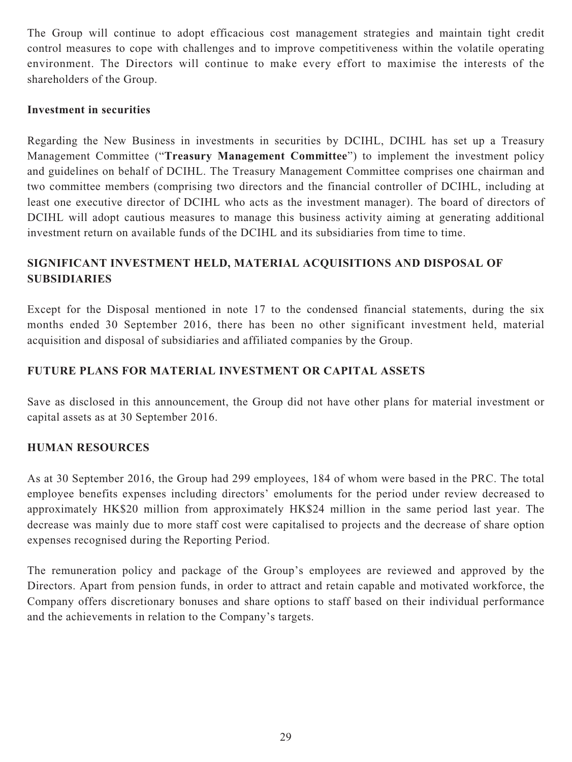The Group will continue to adopt efficacious cost management strategies and maintain tight credit control measures to cope with challenges and to improve competitiveness within the volatile operating environment. The Directors will continue to make every effort to maximise the interests of the shareholders of the Group.

### **Investment in securities**

Regarding the New Business in investments in securities by DCIHL, DCIHL has set up a Treasury Management Committee ("**Treasury Management Committee**") to implement the investment policy and guidelines on behalf of DCIHL. The Treasury Management Committee comprises one chairman and two committee members (comprising two directors and the financial controller of DCIHL, including at least one executive director of DCIHL who acts as the investment manager). The board of directors of DCIHL will adopt cautious measures to manage this business activity aiming at generating additional investment return on available funds of the DCIHL and its subsidiaries from time to time.

## **SIGNIFICANT INVESTMENT HELD, MATERIAL ACQUISITIONS AND DISPOSAL OF SUBSIDIARIES**

Except for the Disposal mentioned in note 17 to the condensed financial statements, during the six months ended 30 September 2016, there has been no other significant investment held, material acquisition and disposal of subsidiaries and affiliated companies by the Group.

### **FUTURE PLANS FOR MATERIAL INVESTMENT OR CAPITAL ASSETS**

Save as disclosed in this announcement, the Group did not have other plans for material investment or capital assets as at 30 September 2016.

### **HUMAN RESOURCES**

As at 30 September 2016, the Group had 299 employees, 184 of whom were based in the PRC. The total employee benefits expenses including directors' emoluments for the period under review decreased to approximately HK\$20 million from approximately HK\$24 million in the same period last year. The decrease was mainly due to more staff cost were capitalised to projects and the decrease of share option expenses recognised during the Reporting Period.

The remuneration policy and package of the Group's employees are reviewed and approved by the Directors. Apart from pension funds, in order to attract and retain capable and motivated workforce, the Company offers discretionary bonuses and share options to staff based on their individual performance and the achievements in relation to the Company's targets.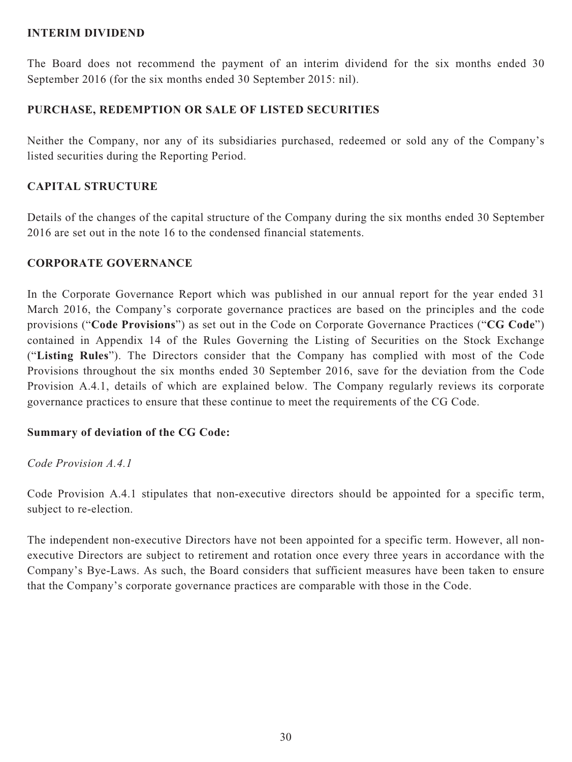#### **INTERIM DIVIDEND**

The Board does not recommend the payment of an interim dividend for the six months ended 30 September 2016 (for the six months ended 30 September 2015: nil).

### **PURCHASE, REDEMPTION OR SALE OF LISTED SECURITIES**

Neither the Company, nor any of its subsidiaries purchased, redeemed or sold any of the Company's listed securities during the Reporting Period.

### **CAPITAL STRUCTURE**

Details of the changes of the capital structure of the Company during the six months ended 30 September 2016 are set out in the note 16 to the condensed financial statements.

#### **CORPORATE GOVERNANCE**

In the Corporate Governance Report which was published in our annual report for the year ended 31 March 2016, the Company's corporate governance practices are based on the principles and the code provisions ("**Code Provisions**") as set out in the Code on Corporate Governance Practices ("**CG Code**") contained in Appendix 14 of the Rules Governing the Listing of Securities on the Stock Exchange ("**Listing Rules**"). The Directors consider that the Company has complied with most of the Code Provisions throughout the six months ended 30 September 2016, save for the deviation from the Code Provision A.4.1, details of which are explained below. The Company regularly reviews its corporate governance practices to ensure that these continue to meet the requirements of the CG Code.

#### **Summary of deviation of the CG Code:**

*Code Provision A.4.1*

Code Provision A.4.1 stipulates that non-executive directors should be appointed for a specific term, subject to re-election.

The independent non-executive Directors have not been appointed for a specific term. However, all nonexecutive Directors are subject to retirement and rotation once every three years in accordance with the Company's Bye-Laws. As such, the Board considers that sufficient measures have been taken to ensure that the Company's corporate governance practices are comparable with those in the Code.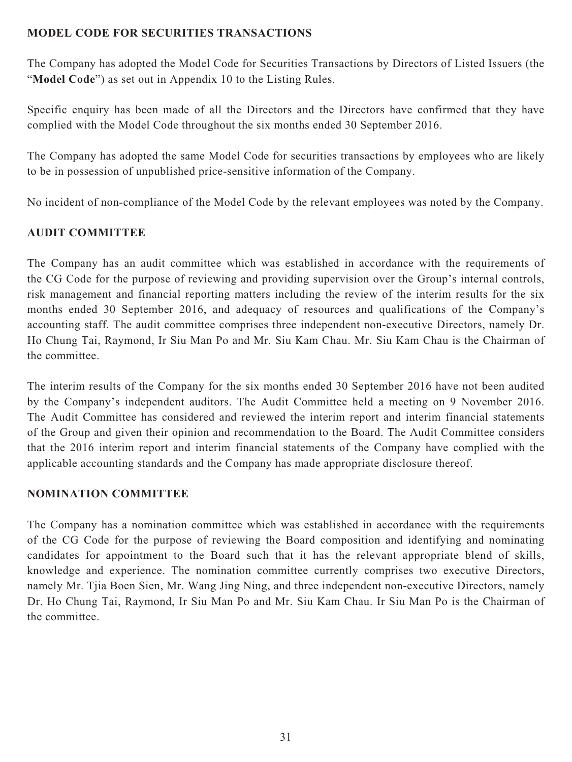### **MODEL CODE FOR SECURITIES TRANSACTIONS**

The Company has adopted the Model Code for Securities Transactions by Directors of Listed Issuers (the "**Model Code**") as set out in Appendix 10 to the Listing Rules.

Specific enquiry has been made of all the Directors and the Directors have confirmed that they have complied with the Model Code throughout the six months ended 30 September 2016.

The Company has adopted the same Model Code for securities transactions by employees who are likely to be in possession of unpublished price-sensitive information of the Company.

No incident of non-compliance of the Model Code by the relevant employees was noted by the Company.

### **AUDIT COMMITTEE**

The Company has an audit committee which was established in accordance with the requirements of the CG Code for the purpose of reviewing and providing supervision over the Group's internal controls, risk management and financial reporting matters including the review of the interim results for the six months ended 30 September 2016, and adequacy of resources and qualifications of the Company's accounting staff. The audit committee comprises three independent non-executive Directors, namely Dr. Ho Chung Tai, Raymond, Ir Siu Man Po and Mr. Siu Kam Chau. Mr. Siu Kam Chau is the Chairman of the committee.

The interim results of the Company for the six months ended 30 September 2016 have not been audited by the Company's independent auditors. The Audit Committee held a meeting on 9 November 2016. The Audit Committee has considered and reviewed the interim report and interim financial statements of the Group and given their opinion and recommendation to the Board. The Audit Committee considers that the 2016 interim report and interim financial statements of the Company have complied with the applicable accounting standards and the Company has made appropriate disclosure thereof.

#### **NOMINATION COMMITTEE**

The Company has a nomination committee which was established in accordance with the requirements of the CG Code for the purpose of reviewing the Board composition and identifying and nominating candidates for appointment to the Board such that it has the relevant appropriate blend of skills, knowledge and experience. The nomination committee currently comprises two executive Directors, namely Mr. Tjia Boen Sien, Mr. Wang Jing Ning, and three independent non-executive Directors, namely Dr. Ho Chung Tai, Raymond, Ir Siu Man Po and Mr. Siu Kam Chau. Ir Siu Man Po is the Chairman of the committee.